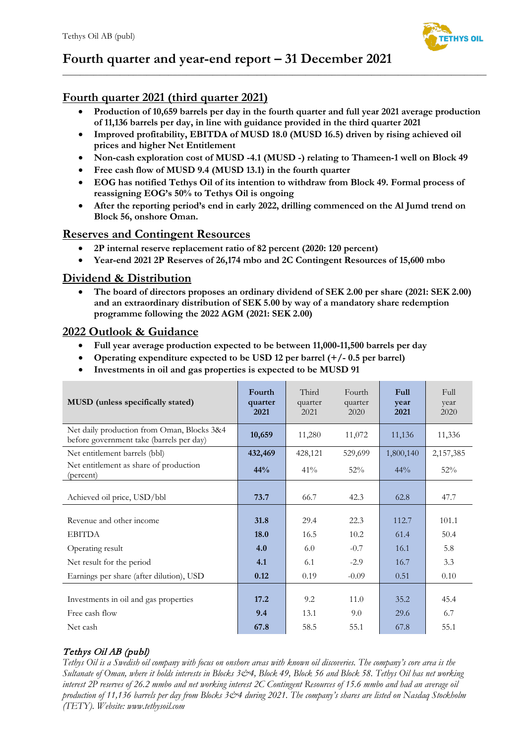

# **Fourth quarter and year-end report – 31 December 2021**

# **Fourth quarter 2021 (third quarter 2021)**

• **Production of 10,659 barrels per day in the fourth quarter and full year 2021 average production of 11,136 barrels per day, in line with guidance provided in the third quarter 2021**

 $\_$  ,  $\_$  ,  $\_$  ,  $\_$  ,  $\_$  ,  $\_$  ,  $\_$  ,  $\_$  ,  $\_$  ,  $\_$  ,  $\_$  ,  $\_$  ,  $\_$  ,  $\_$  ,  $\_$  ,  $\_$  ,  $\_$  ,  $\_$  ,  $\_$  ,  $\_$  ,  $\_$  ,  $\_$  ,  $\_$  ,  $\_$  ,  $\_$  ,  $\_$  ,  $\_$  ,  $\_$  ,  $\_$  ,  $\_$  ,  $\_$  ,  $\_$  ,  $\_$  ,  $\_$  ,  $\_$  ,  $\_$  ,  $\_$  ,

- **Improved profitability, EBITDA of MUSD 18.0 (MUSD 16.5) driven by rising achieved oil prices and higher Net Entitlement**
- **Non-cash exploration cost of MUSD -4.1 (MUSD -) relating to Thameen-1 well on Block 49**
- **Free cash flow of MUSD 9.4 (MUSD 13.1) in the fourth quarter**
- **EOG has notified Tethys Oil of its intention to withdraw from Block 49. Formal process of reassigning EOG's 50% to Tethys Oil is ongoing**
- **After the reporting period's end in early 2022, drilling commenced on the Al Jumd trend on Block 56, onshore Oman.**

# **Reserves and Contingent Resources**

- **2P internal reserve replacement ratio of 82 percent (2020: 120 percent)**
- **Year-end 2021 2P Reserves of 26,174 mbo and 2C Contingent Resources of 15,600 mbo**

# **Dividend & Distribution**

• **The board of directors proposes an ordinary dividend of SEK 2.00 per share (2021: SEK 2.00) and an extraordinary distribution of SEK 5.00 by way of a mandatory share redemption programme following the 2022 AGM (2021: SEK 2.00)**

# **2022 Outlook & Guidance**

- **Full year average production expected to be between 11,000-11,500 barrels per day**
- **Operating expenditure expected to be USD 12 per barrel (+/- 0.5 per barrel)**
- **Investments in oil and gas properties is expected to be MUSD 91**

| MUSD (unless specifically stated)                                                      | Fourth<br>quarter<br>2021 | Third<br>quarter<br>2021 | Fourth<br>quarter<br>2020 | <b>Full</b><br>year<br>2021 | Full<br>year<br>2020 |
|----------------------------------------------------------------------------------------|---------------------------|--------------------------|---------------------------|-----------------------------|----------------------|
| Net daily production from Oman, Blocks 3&4<br>before government take (barrels per day) | 10,659                    | 11,280                   | 11,072                    | 11,136                      | 11,336               |
| Net entitlement barrels (bbl)                                                          | 432,469                   | 428,121                  | 529,699                   | 1,800,140                   | 2,157,385            |
| Net entitlement as share of production<br>(percent)                                    | 44%                       | 41%                      | 52%                       | $44\%$                      | 52%                  |
| Achieved oil price, USD/bbl                                                            | 73.7                      | 66.7                     | 42.3                      | 62.8                        | 47.7                 |
| Revenue and other income                                                               | 31.8                      | 29.4                     | 22.3                      | 112.7                       | 101.1                |
| <b>EBITDA</b>                                                                          | 18.0                      | 16.5                     | 10.2                      | 61.4                        | 50.4                 |
| Operating result                                                                       | 4.0                       | 6.0                      | $-0.7$                    | 16.1                        | 5.8                  |
| Net result for the period                                                              | 4.1                       | 6.1                      | $-2.9$                    | 16.7                        | 3.3                  |
| Earnings per share (after dilution), USD                                               | 0.12                      | 0.19                     | $-0.09$                   | 0.51                        | 0.10                 |
| Investments in oil and gas properties                                                  | 17.2                      | 9.2                      | 11.0                      | 35.2                        | 45.4                 |
| Free cash flow                                                                         | 9.4                       | 13.1                     | 9.0                       | 29.6                        | 6.7                  |
| Net cash                                                                               | 67.8                      | 58.5                     | 55.1                      | 67.8                        | 55.1                 |

# Tethys Oil AB (publ)

*Tethys Oil is a Swedish oil company with focus on onshore areas with known oil discoveries. The company's core area is the Sultanate of Oman, where it holds interests in Blocks 3&4, Block 49, Block 56 and Block 58. Tethys Oil has net working interest 2P reserves of 26.2 mmbo and net working interest 2C Contingent Resources of 15.6 mmbo and had an average oil production of 11,136 barrels per day from Blocks 3&4 during 2021. The company's shares are listed on Nasdaq Stockholm (TETY). Website: www.tethysoil.com*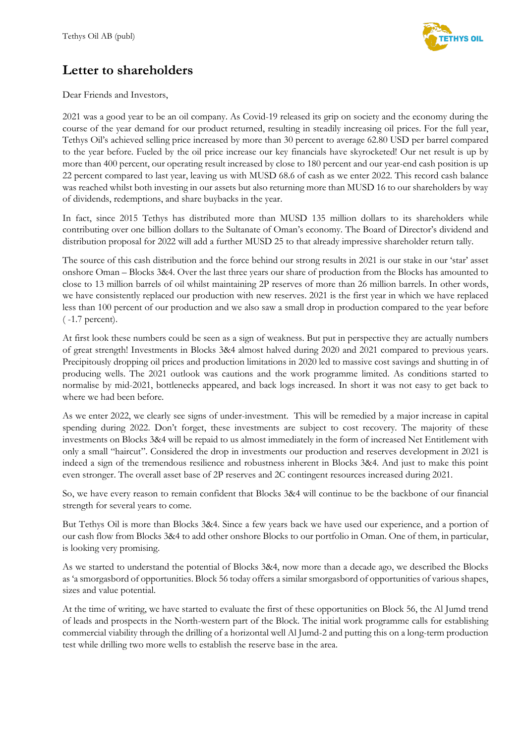

# **Letter to shareholders**

Dear Friends and Investors,

2021 was a good year to be an oil company. As Covid-19 released its grip on society and the economy during the course of the year demand for our product returned, resulting in steadily increasing oil prices. For the full year, Tethys Oil's achieved selling price increased by more than 30 percent to average 62.80 USD per barrel compared to the year before. Fueled by the oil price increase our key financials have skyrocketed! Our net result is up by more than 400 percent, our operating result increased by close to 180 percent and our year-end cash position is up 22 percent compared to last year, leaving us with MUSD 68.6 of cash as we enter 2022. This record cash balance was reached whilst both investing in our assets but also returning more than MUSD 16 to our shareholders by way of dividends, redemptions, and share buybacks in the year.

In fact, since 2015 Tethys has distributed more than MUSD 135 million dollars to its shareholders while contributing over one billion dollars to the Sultanate of Oman's economy. The Board of Director's dividend and distribution proposal for 2022 will add a further MUSD 25 to that already impressive shareholder return tally.

The source of this cash distribution and the force behind our strong results in 2021 is our stake in our 'star' asset onshore Oman – Blocks 3&4. Over the last three years our share of production from the Blocks has amounted to close to 13 million barrels of oil whilst maintaining 2P reserves of more than 26 million barrels. In other words, we have consistently replaced our production with new reserves. 2021 is the first year in which we have replaced less than 100 percent of our production and we also saw a small drop in production compared to the year before ( -1.7 percent).

At first look these numbers could be seen as a sign of weakness. But put in perspective they are actually numbers of great strength! Investments in Blocks 3&4 almost halved during 2020 and 2021 compared to previous years. Precipitously dropping oil prices and production limitations in 2020 led to massive cost savings and shutting in of producing wells. The 2021 outlook was cautions and the work programme limited. As conditions started to normalise by mid-2021, bottlenecks appeared, and back logs increased. In short it was not easy to get back to where we had been before.

As we enter 2022, we clearly see signs of under-investment. This will be remedied by a major increase in capital spending during 2022. Don't forget, these investments are subject to cost recovery. The majority of these investments on Blocks 3&4 will be repaid to us almost immediately in the form of increased Net Entitlement with only a small "haircut". Considered the drop in investments our production and reserves development in 2021 is indeed a sign of the tremendous resilience and robustness inherent in Blocks 3&4. And just to make this point even stronger. The overall asset base of 2P reserves and 2C contingent resources increased during 2021.

So, we have every reason to remain confident that Blocks 3&4 will continue to be the backbone of our financial strength for several years to come.

But Tethys Oil is more than Blocks 3&4. Since a few years back we have used our experience, and a portion of our cash flow from Blocks 3&4 to add other onshore Blocks to our portfolio in Oman. One of them, in particular, is looking very promising.

As we started to understand the potential of Blocks 3&4, now more than a decade ago, we described the Blocks as 'a smorgasbord of opportunities. Block 56 today offers a similar smorgasbord of opportunities of various shapes, sizes and value potential.

At the time of writing, we have started to evaluate the first of these opportunities on Block 56, the Al Jumd trend of leads and prospects in the North-western part of the Block. The initial work programme calls for establishing commercial viability through the drilling of a horizontal well Al Jumd-2 and putting this on a long-term production test while drilling two more wells to establish the reserve base in the area.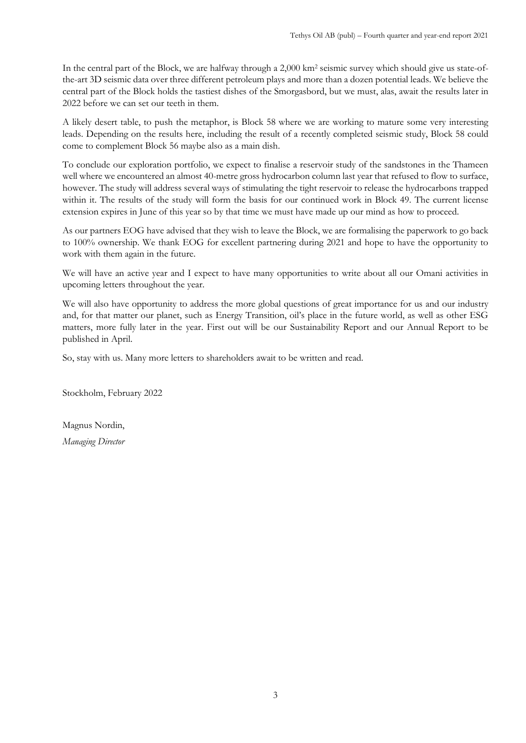In the central part of the Block, we are halfway through a 2,000 km2 seismic survey which should give us state-ofthe-art 3D seismic data over three different petroleum plays and more than a dozen potential leads. We believe the central part of the Block holds the tastiest dishes of the Smorgasbord, but we must, alas, await the results later in 2022 before we can set our teeth in them.

A likely desert table, to push the metaphor, is Block 58 where we are working to mature some very interesting leads. Depending on the results here, including the result of a recently completed seismic study, Block 58 could come to complement Block 56 maybe also as a main dish.

To conclude our exploration portfolio, we expect to finalise a reservoir study of the sandstones in the Thameen well where we encountered an almost 40-metre gross hydrocarbon column last year that refused to flow to surface, however. The study will address several ways of stimulating the tight reservoir to release the hydrocarbons trapped within it. The results of the study will form the basis for our continued work in Block 49. The current license extension expires in June of this year so by that time we must have made up our mind as how to proceed.

As our partners EOG have advised that they wish to leave the Block, we are formalising the paperwork to go back to 100% ownership. We thank EOG for excellent partnering during 2021 and hope to have the opportunity to work with them again in the future.

We will have an active year and I expect to have many opportunities to write about all our Omani activities in upcoming letters throughout the year.

We will also have opportunity to address the more global questions of great importance for us and our industry and, for that matter our planet, such as Energy Transition, oil's place in the future world, as well as other ESG matters, more fully later in the year. First out will be our Sustainability Report and our Annual Report to be published in April.

So, stay with us. Many more letters to shareholders await to be written and read.

Stockholm, February 2022

Magnus Nordin, *Managing Director*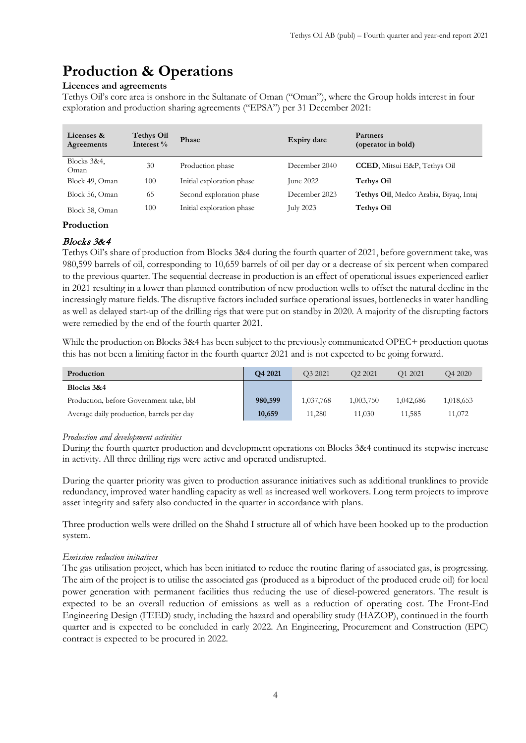# **Production & Operations**

# **Licences and agreements**

Tethys Oil's core area is onshore in the Sultanate of Oman ("Oman"), where the Group holds interest in four exploration and production sharing agreements ("EPSA") per 31 December 2021:

| Licenses &<br>Agreements | <b>Tethys Oil</b><br>Interest % | Phase                     | Expiry date      | Partners<br>(operator in bold)         |
|--------------------------|---------------------------------|---------------------------|------------------|----------------------------------------|
| Blocks 3&4,<br>Oman      | 30                              | Production phase          | December 2040    | <b>CCED</b> , Mitsui E&P, Tethys Oil   |
| Block 49, Oman           | 100                             | Initial exploration phase | June $2022$      | <b>Tethys Oil</b>                      |
| Block 56, Oman           | 65                              | Second exploration phase  | December 2023    | Tethys Oil, Medco Arabia, Biyaq, Intaj |
| Block 58, Oman           | 100                             | Initial exploration phase | <b>July 2023</b> | <b>Tethys Oil</b>                      |

# **Production**

# Blocks 3&4

Tethys Oil's share of production from Blocks 3&4 during the fourth quarter of 2021, before government take, was 980,599 barrels of oil, corresponding to 10,659 barrels of oil per day or a decrease of six percent when compared to the previous quarter. The sequential decrease in production is an effect of operational issues experienced earlier in 2021 resulting in a lower than planned contribution of new production wells to offset the natural decline in the increasingly mature fields. The disruptive factors included surface operational issues, bottlenecks in water handling as well as delayed start-up of the drilling rigs that were put on standby in 2020. A majority of the disrupting factors were remedied by the end of the fourth quarter 2021.

While the production on Blocks 3&4 has been subject to the previously communicated OPEC+ production quotas this has not been a limiting factor in the fourth quarter 2021 and is not expected to be going forward.

| Production                                | Q4 2021 | O <sub>3</sub> 2021 | O <sub>2</sub> 2021 | O <sub>1</sub> 2021 | O <sub>4</sub> 2020 |
|-------------------------------------------|---------|---------------------|---------------------|---------------------|---------------------|
| Blocks 3&4                                |         |                     |                     |                     |                     |
| Production, before Government take, bbl   | 980,599 | 1,037,768           | 1,003,750           | 1.042.686           | 1,018,653           |
| Average daily production, barrels per day | 10,659  | 11.280              | 11,030              | 11.585              | 11,072              |

# *Production and development activities*

During the fourth quarter production and development operations on Blocks 3&4 continued its stepwise increase in activity. All three drilling rigs were active and operated undisrupted.

During the quarter priority was given to production assurance initiatives such as additional trunklines to provide redundancy, improved water handling capacity as well as increased well workovers. Long term projects to improve asset integrity and safety also conducted in the quarter in accordance with plans.

Three production wells were drilled on the Shahd I structure all of which have been hooked up to the production system.

# *Emission reduction initiatives*

The gas utilisation project, which has been initiated to reduce the routine flaring of associated gas, is progressing. The aim of the project is to utilise the associated gas (produced as a biproduct of the produced crude oil) for local power generation with permanent facilities thus reducing the use of diesel-powered generators. The result is expected to be an overall reduction of emissions as well as a reduction of operating cost. The Front-End Engineering Design (FEED) study, including the hazard and operability study (HAZOP), continued in the fourth quarter and is expected to be concluded in early 2022. An Engineering, Procurement and Construction (EPC) contract is expected to be procured in 2022.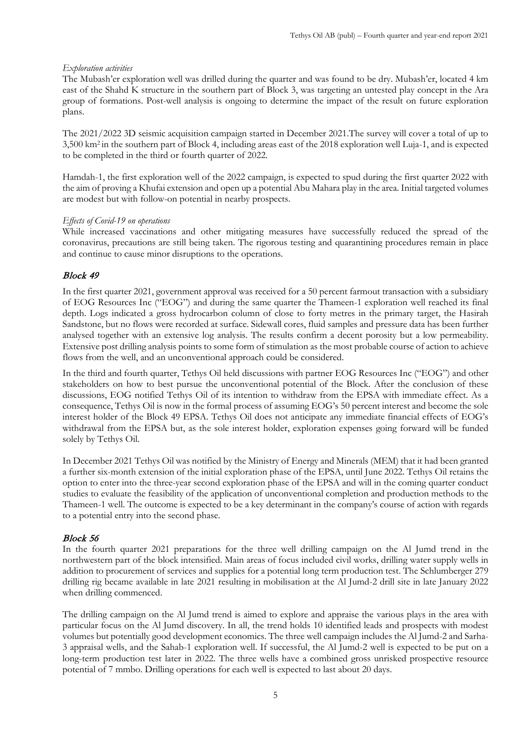#### *Exploration activities*

The Mubash'er exploration well was drilled during the quarter and was found to be dry. Mubash'er, located 4 km east of the Shahd K structure in the southern part of Block 3, was targeting an untested play concept in the Ara group of formations. Post-well analysis is ongoing to determine the impact of the result on future exploration plans.

The 2021/2022 3D seismic acquisition campaign started in December 2021.The survey will cover a total of up to 3,500 km2 in the southern part of Block 4, including areas east of the 2018 exploration well Luja-1, and is expected to be completed in the third or fourth quarter of 2022.

Hamdah-1, the first exploration well of the 2022 campaign, is expected to spud during the first quarter 2022 with the aim of proving a Khufai extension and open up a potential Abu Mahara play in the area. Initial targeted volumes are modest but with follow-on potential in nearby prospects.

#### *Effects of Covid-19 on operations*

While increased vaccinations and other mitigating measures have successfully reduced the spread of the coronavirus, precautions are still being taken. The rigorous testing and quarantining procedures remain in place and continue to cause minor disruptions to the operations.

### Block 49

In the first quarter 2021, government approval was received for a 50 percent farmout transaction with a subsidiary of EOG Resources Inc ("EOG") and during the same quarter the Thameen-1 exploration well reached its final depth. Logs indicated a gross hydrocarbon column of close to forty metres in the primary target, the Hasirah Sandstone, but no flows were recorded at surface. Sidewall cores, fluid samples and pressure data has been further analysed together with an extensive log analysis. The results confirm a decent porosity but a low permeability. Extensive post drilling analysis points to some form of stimulation as the most probable course of action to achieve flows from the well, and an unconventional approach could be considered.

In the third and fourth quarter, Tethys Oil held discussions with partner EOG Resources Inc ("EOG") and other stakeholders on how to best pursue the unconventional potential of the Block. After the conclusion of these discussions, EOG notified Tethys Oil of its intention to withdraw from the EPSA with immediate effect. As a consequence, Tethys Oil is now in the formal process of assuming EOG's 50 percent interest and become the sole interest holder of the Block 49 EPSA. Tethys Oil does not anticipate any immediate financial effects of EOG's withdrawal from the EPSA but, as the sole interest holder, exploration expenses going forward will be funded solely by Tethys Oil.

In December 2021 Tethys Oil was notified by the Ministry of Energy and Minerals (MEM) that it had been granted a further six-month extension of the initial exploration phase of the EPSA, until June 2022. Tethys Oil retains the option to enter into the three-year second exploration phase of the EPSA and will in the coming quarter conduct studies to evaluate the feasibility of the application of unconventional completion and production methods to the Thameen-1 well. The outcome is expected to be a key determinant in the company's course of action with regards to a potential entry into the second phase.

### Block 56

In the fourth quarter 2021 preparations for the three well drilling campaign on the Al Jumd trend in the northwestern part of the block intensified. Main areas of focus included civil works, drilling water supply wells in addition to procurement of services and supplies for a potential long term production test. The Schlumberger 279 drilling rig became available in late 2021 resulting in mobilisation at the Al Jumd-2 drill site in late January 2022 when drilling commenced.

The drilling campaign on the Al Jumd trend is aimed to explore and appraise the various plays in the area with particular focus on the Al Jumd discovery. In all, the trend holds 10 identified leads and prospects with modest volumes but potentially good development economics. The three well campaign includes the Al Jumd-2 and Sarha-3 appraisal wells, and the Sahab-1 exploration well. If successful, the Al Jumd-2 well is expected to be put on a long-term production test later in 2022. The three wells have a combined gross unrisked prospective resource potential of 7 mmbo. Drilling operations for each well is expected to last about 20 days.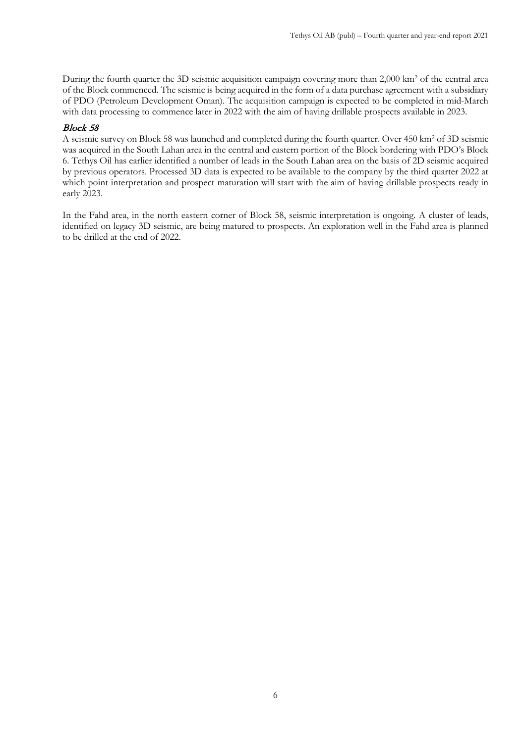During the fourth quarter the 3D seismic acquisition campaign covering more than 2,000 km2 of the central area of the Block commenced. The seismic is being acquired in the form of a data purchase agreement with a subsidiary of PDO (Petroleum Development Oman). The acquisition campaign is expected to be completed in mid-March with data processing to commence later in 2022 with the aim of having drillable prospects available in 2023.

### Block 58

A seismic survey on Block 58 was launched and completed during the fourth quarter. Over 450 km2 of 3D seismic was acquired in the South Lahan area in the central and eastern portion of the Block bordering with PDO's Block 6. Tethys Oil has earlier identified a number of leads in the South Lahan area on the basis of 2D seismic acquired by previous operators. Processed 3D data is expected to be available to the company by the third quarter 2022 at which point interpretation and prospect maturation will start with the aim of having drillable prospects ready in early 2023.

In the Fahd area, in the north eastern corner of Block 58, seismic interpretation is ongoing. A cluster of leads, identified on legacy 3D seismic, are being matured to prospects. An exploration well in the Fahd area is planned to be drilled at the end of 2022.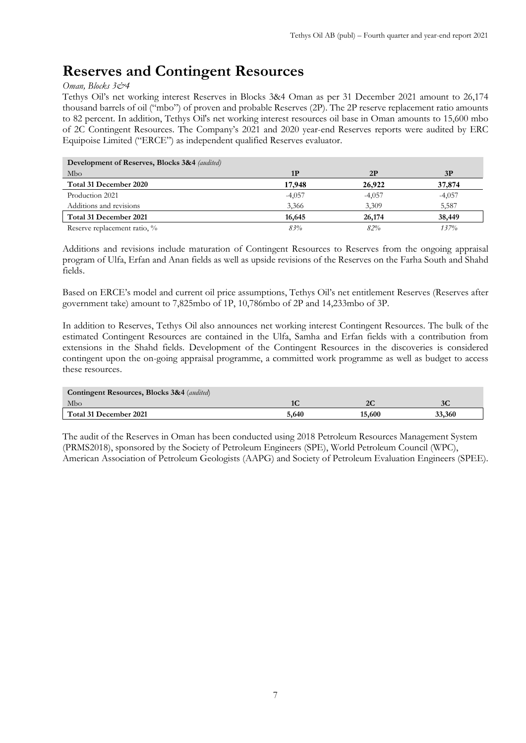# **Reserves and Contingent Resources**

### *Oman, Blocks 3&4*

Tethys Oil's net working interest Reserves in Blocks 3&4 Oman as per 31 December 2021 amount to 26,174 thousand barrels of oil ("mbo") of proven and probable Reserves (2P). The 2P reserve replacement ratio amounts to 82 percent. In addition, Tethys Oil's net working interest resources oil base in Oman amounts to 15,600 mbo of 2C Contingent Resources. The Company's 2021 and 2020 year-end Reserves reports were audited by ERC Equipoise Limited ("ERCE") as independent qualified Reserves evaluator.

| <b>Development of Reserves, Blocks 3&amp;4</b> (audited) |          |          |          |
|----------------------------------------------------------|----------|----------|----------|
| Mbo                                                      | 1P       | 2P       | 3P       |
| Total 31 December 2020                                   | 17.948   | 26.922   | 37,874   |
| Production 2021                                          | $-4,057$ | $-4,057$ | $-4,057$ |
| Additions and revisions                                  | 3,366    | 3.309    | 5,587    |
| Total 31 December 2021                                   | 16,645   | 26,174   | 38,449   |
| Reserve replacement ratio, %                             | 83%      | 82%      | 137%     |

Additions and revisions include maturation of Contingent Resources to Reserves from the ongoing appraisal program of Ulfa, Erfan and Anan fields as well as upside revisions of the Reserves on the Farha South and Shahd fields.

Based on ERCE's model and current oil price assumptions, Tethys Oil's net entitlement Reserves (Reserves after government take) amount to 7,825mbo of 1P, 10,786mbo of 2P and 14,233mbo of 3P.

In addition to Reserves, Tethys Oil also announces net working interest Contingent Resources. The bulk of the estimated Contingent Resources are contained in the Ulfa, Samha and Erfan fields with a contribution from extensions in the Shahd fields. Development of the Contingent Resources in the discoveries is considered contingent upon the on-going appraisal programme, a committed work programme as well as budget to access these resources.

| <b>Contingent Resources, Blocks 3&amp;4</b> (audited) |       |        |        |  |  |  |  |
|-------------------------------------------------------|-------|--------|--------|--|--|--|--|
| Mbo                                                   |       | 2C     | JΨ     |  |  |  |  |
| Total 31 December 2021                                | 5.640 | 15,600 | 33,360 |  |  |  |  |

The audit of the Reserves in Oman has been conducted using 2018 Petroleum Resources Management System (PRMS2018), sponsored by the Society of Petroleum Engineers (SPE), World Petroleum Council (WPC), American Association of Petroleum Geologists (AAPG) and Society of Petroleum Evaluation Engineers (SPEE).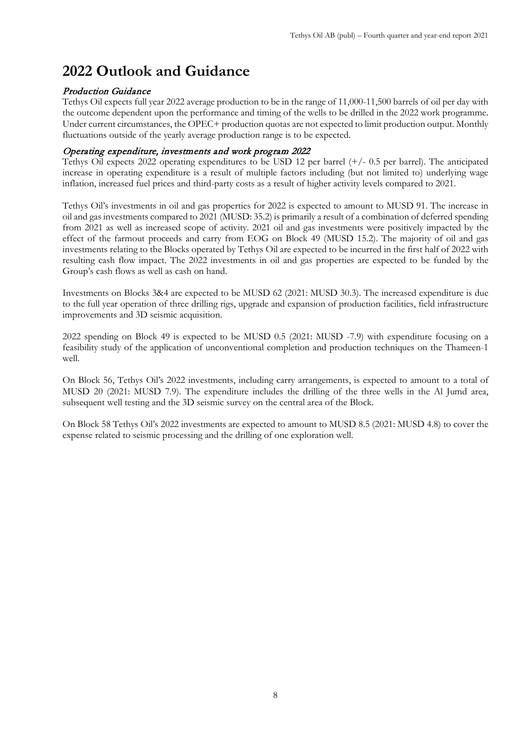# **2022 Outlook and Guidance**

# Production Guidance

Tethys Oil expects full year 2022 average production to be in the range of 11,000-11,500 barrels of oil per day with the outcome dependent upon the performance and timing of the wells to be drilled in the 2022 work programme. Under current circumstances, the OPEC+ production quotas are not expected to limit production output. Monthly fluctuations outside of the yearly average production range is to be expected.

## Operating expenditure, investments and work program 2022

Tethys Oil expects 2022 operating expenditures to be USD 12 per barrel  $(+/- 0.5$  per barrel). The anticipated increase in operating expenditure is a result of multiple factors including (but not limited to) underlying wage inflation, increased fuel prices and third-party costs as a result of higher activity levels compared to 2021.

Tethys Oil's investments in oil and gas properties for 2022 is expected to amount to MUSD 91. The increase in oil and gas investments compared to 2021 (MUSD: 35.2) is primarily a result of a combination of deferred spending from 2021 as well as increased scope of activity. 2021 oil and gas investments were positively impacted by the effect of the farmout proceeds and carry from EOG on Block 49 (MUSD 15.2). The majority of oil and gas investments relating to the Blocks operated by Tethys Oil are expected to be incurred in the first half of 2022 with resulting cash flow impact. The 2022 investments in oil and gas properties are expected to be funded by the Group's cash flows as well as cash on hand.

Investments on Blocks 3&4 are expected to be MUSD 62 (2021: MUSD 30.3). The increased expenditure is due to the full year operation of three drilling rigs, upgrade and expansion of production facilities, field infrastructure improvements and 3D seismic acquisition.

2022 spending on Block 49 is expected to be MUSD 0.5 (2021: MUSD -7.9) with expenditure focusing on a feasibility study of the application of unconventional completion and production techniques on the Thameen-1 well.

On Block 56, Tethys Oil's 2022 investments, including carry arrangements, is expected to amount to a total of MUSD 20 (2021: MUSD 7.9). The expenditure includes the drilling of the three wells in the Al Jumd area, subsequent well testing and the 3D seismic survey on the central area of the Block.

On Block 58 Tethys Oil's 2022 investments are expected to amount to MUSD 8.5 (2021: MUSD 4.8) to cover the expense related to seismic processing and the drilling of one exploration well.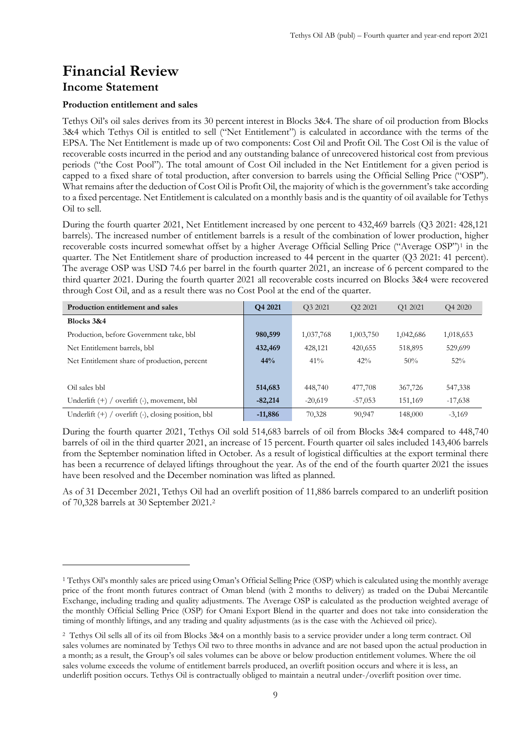# **Financial Review**

# **Income Statement**

### **Production entitlement and sales**

Tethys Oil's oil sales derives from its 30 percent interest in Blocks 3&4. The share of oil production from Blocks 3&4 which Tethys Oil is entitled to sell ("Net Entitlement") is calculated in accordance with the terms of the EPSA. The Net Entitlement is made up of two components: Cost Oil and Profit Oil. The Cost Oil is the value of recoverable costs incurred in the period and any outstanding balance of unrecovered historical cost from previous periods ("the Cost Pool"). The total amount of Cost Oil included in the Net Entitlement for a given period is capped to a fixed share of total production, after conversion to barrels using the Official Selling Price ("OSP"). What remains after the deduction of Cost Oil is Profit Oil, the majority of which is the government's take according to a fixed percentage. Net Entitlement is calculated on a monthly basis and is the quantity of oil available for Tethys Oil to sell.

During the fourth quarter 2021, Net Entitlement increased by one percent to 432,469 barrels (Q3 2021: 428,121 barrels). The increased number of entitlement barrels is a result of the combination of lower production, higher recoverable costs incurred somewhat offset by a higher Average Official Selling Price ("Average OSP")[1](#page-8-0) in the quarter. The Net Entitlement share of production increased to 44 percent in the quarter (Q3 2021: 41 percent). The average OSP was USD 74.6 per barrel in the fourth quarter 2021, an increase of 6 percent compared to the third quarter 2021. During the fourth quarter 2021 all recoverable costs incurred on Blocks 3&4 were recovered through Cost Oil, and as a result there was no Cost Pool at the end of the quarter.

| Production entitlement and sales                         | O <sub>4</sub> 2021 | O3 2021   | O <sub>2</sub> 2021 | O1 2021   | O <sub>4</sub> 2020 |
|----------------------------------------------------------|---------------------|-----------|---------------------|-----------|---------------------|
| Blocks 3&4                                               |                     |           |                     |           |                     |
| Production, before Government take, bbl                  | 980,599             | 1,037,768 | 1,003,750           | 1,042,686 | 1,018,653           |
| Net Entitlement barrels, bbl                             | 432,469             | 428,121   | 420,655             | 518,895   | 529,699             |
| Net Entitlement share of production, percent             | 44%                 | $41\%$    | 42%                 | 50%       | 52%                 |
|                                                          |                     |           |                     |           |                     |
| Oil sales bbl                                            | 514,683             | 448,740   | 477,708             | 367,726   | 547,338             |
| overlift (-), movement, bbl<br>Underlift $(+)$ /         | $-82,214$           | $-20.619$ | $-57,053$           | 151,169   | $-17,638$           |
| overlift (-), closing position, bbl<br>Underlift $(+)$ / | $-11,886$           | 70,328    | 90,947              | 148,000   | $-3,169$            |

During the fourth quarter 2021, Tethys Oil sold 514,683 barrels of oil from Blocks 3&4 compared to 448,740 barrels of oil in the third quarter 2021, an increase of 15 percent. Fourth quarter oil sales included 143,406 barrels from the September nomination lifted in October. As a result of logistical difficulties at the export terminal there has been a recurrence of delayed liftings throughout the year. As of the end of the fourth quarter 2021 the issues have been resolved and the December nomination was lifted as planned.

As of 31 December 2021, Tethys Oil had an overlift position of 11,886 barrels compared to an underlift position of 70,328 barrels at 30 September 2021.[2](#page-8-1)

<span id="page-8-0"></span><sup>1</sup> Tethys Oil's monthly sales are priced using Oman's Official Selling Price (OSP) which is calculated using the monthly average price of the front month futures contract of Oman blend (with 2 months to delivery) as traded on the Dubai Mercantile Exchange, including trading and quality adjustments. The Average OSP is calculated as the production weighted average of the monthly Official Selling Price (OSP) for Omani Export Blend in the quarter and does not take into consideration the timing of monthly liftings, and any trading and quality adjustments (as is the case with the Achieved oil price).

<span id="page-8-1"></span><sup>2</sup> Tethys Oil sells all of its oil from Blocks 3&4 on a monthly basis to a service provider under a long term contract. Oil sales volumes are nominated by Tethys Oil two to three months in advance and are not based upon the actual production in a month; as a result, the Group's oil sales volumes can be above or below production entitlement volumes. Where the oil sales volume exceeds the volume of entitlement barrels produced, an overlift position occurs and where it is less, an underlift position occurs. Tethys Oil is contractually obliged to maintain a neutral under-/overlift position over time.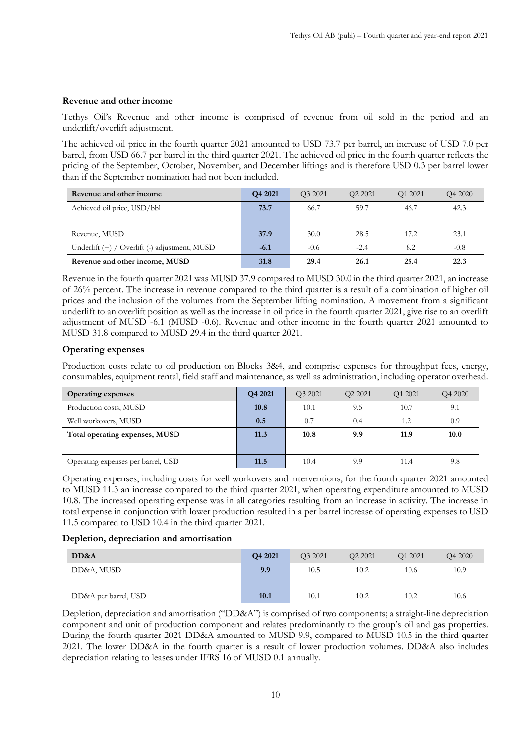#### **Revenue and other income**

Tethys Oil's Revenue and other income is comprised of revenue from oil sold in the period and an underlift/overlift adjustment.

The achieved oil price in the fourth quarter 2021 amounted to USD 73.7 per barrel, an increase of USD 7.0 per barrel, from USD 66.7 per barrel in the third quarter 2021. The achieved oil price in the fourth quarter reflects the pricing of the September, October, November, and December liftings and is therefore USD 0.3 per barrel lower than if the September nomination had not been included.

| Revenue and other income                      | Q4 2021 | O3 2021 | O <sub>2</sub> 2021 | O1 2021 | O <sub>4</sub> 2020 |
|-----------------------------------------------|---------|---------|---------------------|---------|---------------------|
| Achieved oil price, USD/bbl                   | 73.7    | 66.7    | 59.7                | 46.7    | 42.3                |
|                                               |         |         |                     |         |                     |
| Revenue, MUSD                                 | 37.9    | 30.0    | 28.5                | 17.2    | 23.1                |
| Underlift (+) / Overlift (-) adjustment, MUSD | $-6.1$  | $-0.6$  | $-2.4$              | 8.2     | $-0.8$              |
| Revenue and other income, MUSD                | 31.8    | 29.4    | 26.1                | 25.4    | 22.3                |

Revenue in the fourth quarter 2021 was MUSD 37.9 compared to MUSD 30.0 in the third quarter 2021, an increase of 26% percent. The increase in revenue compared to the third quarter is a result of a combination of higher oil prices and the inclusion of the volumes from the September lifting nomination. A movement from a significant underlift to an overlift position as well as the increase in oil price in the fourth quarter 2021, give rise to an overlift adjustment of MUSD -6.1 (MUSD -0.6). Revenue and other income in the fourth quarter 2021 amounted to MUSD 31.8 compared to MUSD 29.4 in the third quarter 2021.

#### **Operating expenses**

Production costs relate to oil production on Blocks 3&4, and comprise expenses for throughput fees, energy, consumables, equipment rental, field staff and maintenance, as well as administration, including operator overhead.

| <b>Operating expenses</b>          | O <sub>4</sub> 2021 | O <sub>3</sub> 2021 | O <sub>2</sub> 2021 | O <sub>1</sub> 2021 | O <sub>4</sub> 2020 |
|------------------------------------|---------------------|---------------------|---------------------|---------------------|---------------------|
| Production costs, MUSD             | 10.8                | 10.1                | 9.5                 | 10.7                | 9.1                 |
| Well workovers, MUSD               | 0.5                 | 0.7                 | 0.4                 | 1.2                 | 0.9                 |
| Total operating expenses, MUSD     | 11.3                | 10.8                | 9.9                 | 11.9                | 10.0                |
|                                    |                     |                     |                     |                     |                     |
| Operating expenses per barrel, USD | 11.5                | 10.4                | 9.9                 | 11.4                | 9.8                 |

Operating expenses, including costs for well workovers and interventions, for the fourth quarter 2021 amounted to MUSD 11.3 an increase compared to the third quarter 2021, when operating expenditure amounted to MUSD 10.8. The increased operating expense was in all categories resulting from an increase in activity. The increase in total expense in conjunction with lower production resulted in a per barrel increase of operating expenses to USD 11.5 compared to USD 10.4 in the third quarter 2021.

#### **Depletion, depreciation and amortisation**

| DD&A                 | Q4 2021 | O <sub>3</sub> 2021 | O <sub>2</sub> 2021 | O1 2021 | O <sub>4</sub> 2020 |
|----------------------|---------|---------------------|---------------------|---------|---------------------|
| DD&A, MUSD           | 9.9     | 10.5                | 10.2                | 10.6    | 10.9                |
| DD&A per barrel, USD | 10.1    | 10.1                | 10.2                | 10.2    | 10.6                |

Depletion, depreciation and amortisation ("DD&A") is comprised of two components; a straight-line depreciation component and unit of production component and relates predominantly to the group's oil and gas properties. During the fourth quarter 2021 DD&A amounted to MUSD 9.9, compared to MUSD 10.5 in the third quarter 2021. The lower DD&A in the fourth quarter is a result of lower production volumes. DD&A also includes depreciation relating to leases under IFRS 16 of MUSD 0.1 annually.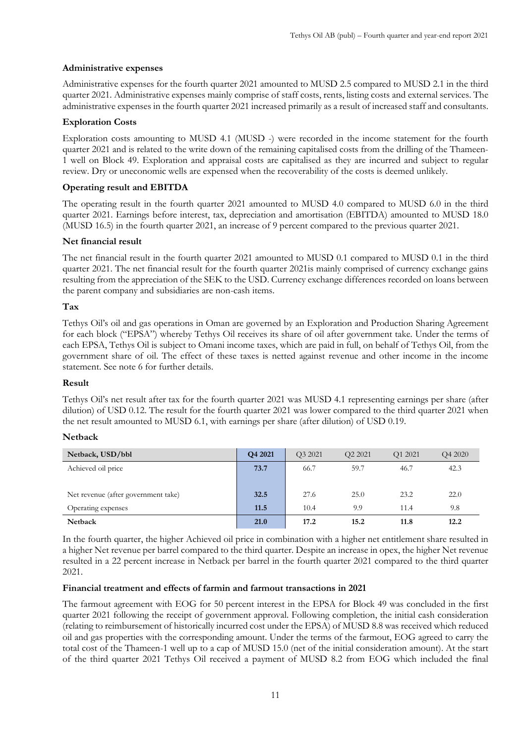# **Administrative expenses**

Administrative expenses for the fourth quarter 2021 amounted to MUSD 2.5 compared to MUSD 2.1 in the third quarter 2021. Administrative expenses mainly comprise of staff costs, rents, listing costs and external services. The administrative expenses in the fourth quarter 2021 increased primarily as a result of increased staff and consultants.

## **Exploration Costs**

Exploration costs amounting to MUSD 4.1 (MUSD -) were recorded in the income statement for the fourth quarter 2021 and is related to the write down of the remaining capitalised costs from the drilling of the Thameen-1 well on Block 49. Exploration and appraisal costs are capitalised as they are incurred and subject to regular review. Dry or uneconomic wells are expensed when the recoverability of the costs is deemed unlikely.

# **Operating result and EBITDA**

The operating result in the fourth quarter 2021 amounted to MUSD 4.0 compared to MUSD 6.0 in the third quarter 2021. Earnings before interest, tax, depreciation and amortisation (EBITDA) amounted to MUSD 18.0 (MUSD 16.5) in the fourth quarter 2021, an increase of 9 percent compared to the previous quarter 2021.

## **Net financial result**

The net financial result in the fourth quarter 2021 amounted to MUSD 0.1 compared to MUSD 0.1 in the third quarter 2021. The net financial result for the fourth quarter 2021is mainly comprised of currency exchange gains resulting from the appreciation of the SEK to the USD. Currency exchange differences recorded on loans between the parent company and subsidiaries are non-cash items.

# **Tax**

Tethys Oil's oil and gas operations in Oman are governed by an Exploration and Production Sharing Agreement for each block ("EPSA") whereby Tethys Oil receives its share of oil after government take. Under the terms of each EPSA, Tethys Oil is subject to Omani income taxes, which are paid in full, on behalf of Tethys Oil, from the government share of oil. The effect of these taxes is netted against revenue and other income in the income statement. See note 6 for further details.

### **Result**

Tethys Oil's net result after tax for the fourth quarter 2021 was MUSD 4.1 representing earnings per share (after dilution) of USD 0.12. The result for the fourth quarter 2021 was lower compared to the third quarter 2021 when the net result amounted to MUSD 6.1, with earnings per share (after dilution) of USD 0.19.

### **Netback**

| Netback, USD/bbl                    | O <sub>4</sub> 2021 | O <sub>3</sub> 2021 | O <sub>2</sub> 2021 | O <sub>1</sub> 2021 | O <sub>4</sub> 2020 |
|-------------------------------------|---------------------|---------------------|---------------------|---------------------|---------------------|
| Achieved oil price                  | 73.7                | 66.7                | 59.7                | 46.7                | 42.3                |
|                                     |                     |                     |                     |                     |                     |
| Net revenue (after government take) | 32.5                | 27.6                | 25.0                | 23.2                | 22.0                |
| Operating expenses                  | 11.5                | 10.4                | 9.9                 | 11.4                | 9.8                 |
| <b>Netback</b>                      | 21.0                | 17.2                | 15.2                | 11.8                | 12.2                |

In the fourth quarter, the higher Achieved oil price in combination with a higher net entitlement share resulted in a higher Net revenue per barrel compared to the third quarter. Despite an increase in opex, the higher Net revenue resulted in a 22 percent increase in Netback per barrel in the fourth quarter 2021 compared to the third quarter 2021.

## **Financial treatment and effects of farmin and farmout transactions in 2021**

The farmout agreement with EOG for 50 percent interest in the EPSA for Block 49 was concluded in the first quarter 2021 following the receipt of government approval. Following completion, the initial cash consideration (relating to reimbursement of historically incurred cost under the EPSA) of MUSD 8.8 was received which reduced oil and gas properties with the corresponding amount. Under the terms of the farmout, EOG agreed to carry the total cost of the Thameen-1 well up to a cap of MUSD 15.0 (net of the initial consideration amount). At the start of the third quarter 2021 Tethys Oil received a payment of MUSD 8.2 from EOG which included the final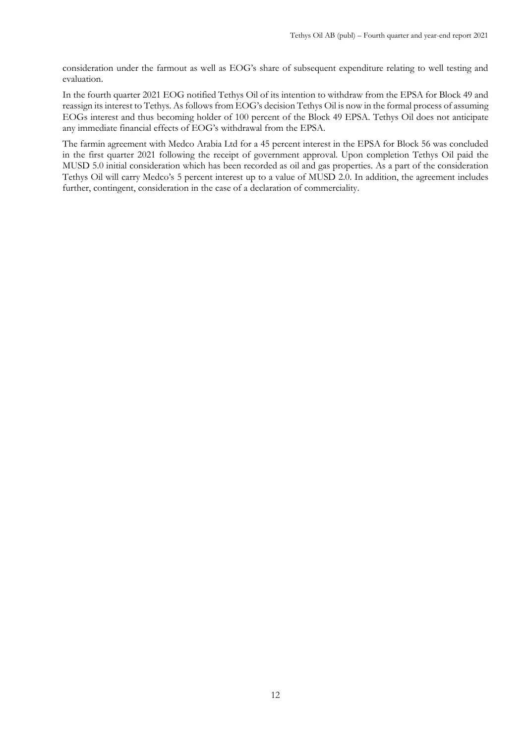consideration under the farmout as well as EOG's share of subsequent expenditure relating to well testing and evaluation.

In the fourth quarter 2021 EOG notified Tethys Oil of its intention to withdraw from the EPSA for Block 49 and reassign its interest to Tethys. As follows from EOG's decision Tethys Oil is now in the formal process of assuming EOGs interest and thus becoming holder of 100 percent of the Block 49 EPSA. Tethys Oil does not anticipate any immediate financial effects of EOG's withdrawal from the EPSA.

The farmin agreement with Medco Arabia Ltd for a 45 percent interest in the EPSA for Block 56 was concluded in the first quarter 2021 following the receipt of government approval. Upon completion Tethys Oil paid the MUSD 5.0 initial consideration which has been recorded as oil and gas properties. As a part of the consideration Tethys Oil will carry Medco's 5 percent interest up to a value of MUSD 2.0. In addition, the agreement includes further, contingent, consideration in the case of a declaration of commerciality.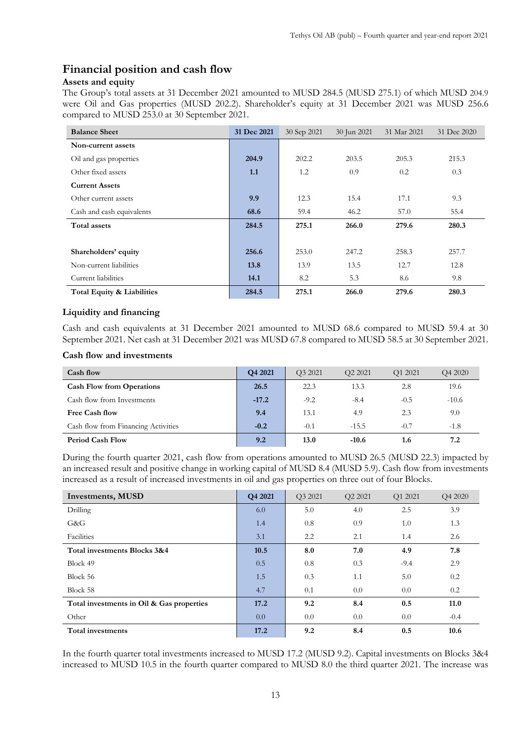# **Financial position and cash flow**

# **Assets and equity**

The Group's total assets at 31 December 2021 amounted to MUSD 284.5 (MUSD 275.1) of which MUSD 204.9 were Oil and Gas properties (MUSD 202.2). Shareholder's equity at 31 December 2021 was MUSD 256.6 compared to MUSD 253.0 at 30 September 2021.

| <b>Balance Sheet</b>       | 31 Dec 2021 | 30 Sep 2021 | 30 Jun 2021 | 31 Mar 2021 | 31 Dec 2020 |
|----------------------------|-------------|-------------|-------------|-------------|-------------|
| Non-current assets         |             |             |             |             |             |
| Oil and gas properties     | 204.9       | 202.2       | 203.5       | 205.3       | 215.3       |
| Other fixed assets         | 1.1         | 1.2         | 0.9         | 0.2         | 0.3         |
| <b>Current Assets</b>      |             |             |             |             |             |
| Other current assets       | 9.9         | 12.3        | 15.4        | 17.1        | 9.3         |
| Cash and cash equivalents  | 68.6        | 59.4        | 46.2        | 57.0        | 55.4        |
| <b>Total assets</b>        | 284.5       | 275.1       | 266.0       | 279.6       | 280.3       |
|                            |             |             |             |             |             |
| Shareholders' equity       | 256.6       | 253.0       | 247.2       | 258.3       | 257.7       |
| Non-current liabilities    | 13.8        | 13.9        | 13.5        | 12.7        | 12.8        |
| Current liabilities        | 14.1        | 8.2         | 5.3         | 8.6         | 9.8         |
| Total Equity & Liabilities | 284.5       | 275.1       | 266.0       | 279.6       | 280.3       |

## **Liquidity and financing**

Cash and cash equivalents at 31 December 2021 amounted to MUSD 68.6 compared to MUSD 59.4 at 30 September 2021. Net cash at 31 December 2021 was MUSD 67.8 compared to MUSD 58.5 at 30 September 2021.

#### **Cash flow and investments**

| Cash flow                           | Q4 2021 | O <sub>3</sub> 2021 | O <sub>2</sub> 2021 | O <sub>1</sub> 2021 | O <sub>4</sub> 2020 |
|-------------------------------------|---------|---------------------|---------------------|---------------------|---------------------|
| <b>Cash Flow from Operations</b>    | 26.5    | 22.3                | 13.3                | 2.8                 | 19.6                |
| Cash flow from Investments          | $-17.2$ | $-9.2$              | $-8.4$              | $-0.5$              | $-10.6$             |
| Free Cash flow                      | 9.4     | 13.1                | 4.9                 | 2.3                 | 9.0                 |
| Cash flow from Financing Activities | $-0.2$  | $-0.1$              | $-15.5$             | $-0.7$              | $-1.8$              |
| <b>Period Cash Flow</b>             | 9.2     | 13.0                | $-10.6$             | 1.6                 | 7.2                 |

During the fourth quarter 2021, cash flow from operations amounted to MUSD 26.5 (MUSD 22.3) impacted by an increased result and positive change in working capital of MUSD 8.4 (MUSD 5.9). Cash flow from investments increased as a result of increased investments in oil and gas properties on three out of four Blocks.

| Investments, MUSD                         | Q4 2021 | Q3 2021 | O <sub>2</sub> 2021 | Q1 2021 | Q4 2020 |
|-------------------------------------------|---------|---------|---------------------|---------|---------|
| Drilling                                  | 6.0     | 5.0     | 4.0                 | 2.5     | 3.9     |
| G&G                                       | 1.4     | 0.8     | 0.9                 | 1.0     | 1.3     |
| Facilities                                | 3.1     | 2.2     | 2.1                 | 1.4     | 2.6     |
| Total investments Blocks 3&4              | 10.5    | 8.0     | 7.0                 | 4.9     | 7.8     |
| Block 49                                  | 0.5     | 0.8     | 0.3                 | $-9.4$  | 2.9     |
| Block 56                                  | 1.5     | 0.3     | 1.1                 | 5.0     | 0.2     |
| Block 58                                  | 4.7     | 0.1     | 0.0                 | 0.0     | 0.2     |
| Total investments in Oil & Gas properties | 17.2    | 9.2     | 8.4                 | 0.5     | 11.0    |
| Other                                     | 0.0     | 0.0     | 0.0                 | 0.0     | $-0.4$  |
| Total investments                         | 17.2    | 9.2     | 8.4                 | 0.5     | 10.6    |

In the fourth quarter total investments increased to MUSD 17.2 (MUSD 9.2). Capital investments on Blocks 3&4 increased to MUSD 10.5 in the fourth quarter compared to MUSD 8.0 the third quarter 2021. The increase was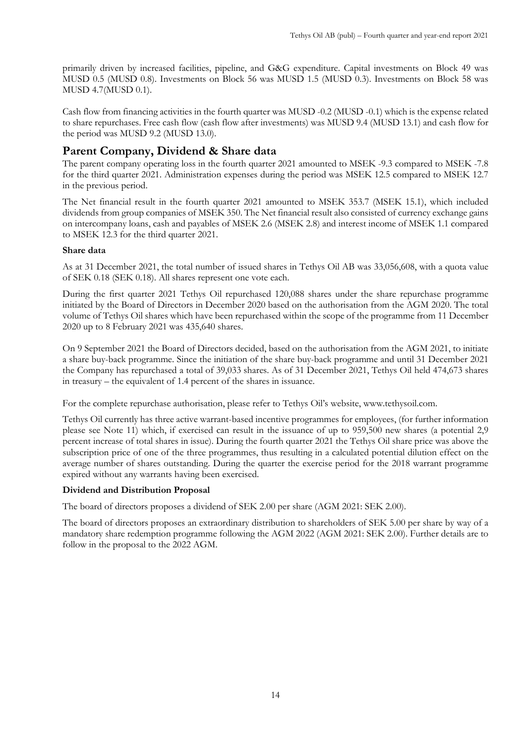primarily driven by increased facilities, pipeline, and G&G expenditure. Capital investments on Block 49 was MUSD 0.5 (MUSD 0.8). Investments on Block 56 was MUSD 1.5 (MUSD 0.3). Investments on Block 58 was MUSD 4.7(MUSD 0.1).

Cash flow from financing activities in the fourth quarter was MUSD -0.2 (MUSD -0.1) which is the expense related to share repurchases. Free cash flow (cash flow after investments) was MUSD 9.4 (MUSD 13.1) and cash flow for the period was MUSD 9.2 (MUSD 13.0).

# **Parent Company, Dividend & Share data**

The parent company operating loss in the fourth quarter 2021 amounted to MSEK -9.3 compared to MSEK -7.8 for the third quarter 2021. Administration expenses during the period was MSEK 12.5 compared to MSEK 12.7 in the previous period.

The Net financial result in the fourth quarter 2021 amounted to MSEK 353.7 (MSEK 15.1), which included dividends from group companies of MSEK 350. The Net financial result also consisted of currency exchange gains on intercompany loans, cash and payables of MSEK 2.6 (MSEK 2.8) and interest income of MSEK 1.1 compared to MSEK 12.3 for the third quarter 2021.

## **Share data**

As at 31 December 2021, the total number of issued shares in Tethys Oil AB was 33,056,608, with a quota value of SEK 0.18 (SEK 0.18). All shares represent one vote each.

During the first quarter 2021 Tethys Oil repurchased 120,088 shares under the share repurchase programme initiated by the Board of Directors in December 2020 based on the authorisation from the AGM 2020. The total volume of Tethys Oil shares which have been repurchased within the scope of the programme from 11 December 2020 up to 8 February 2021 was 435,640 shares.

On 9 September 2021 the Board of Directors decided, based on the authorisation from the AGM 2021, to initiate a share buy-back programme. Since the initiation of the share buy-back programme and until 31 December 2021 the Company has repurchased a total of 39,033 shares. As of 31 December 2021, Tethys Oil held 474,673 shares in treasury – the equivalent of 1.4 percent of the shares in issuance.

For the complete repurchase authorisation, please refer to Tethys Oil's website, [www.tethysoil.com.](http://www.tethysoil.com/)

Tethys Oil currently has three active warrant-based incentive programmes for employees, (for further information please see Note 11) which, if exercised can result in the issuance of up to 959,500 new shares (a potential 2,9 percent increase of total shares in issue). During the fourth quarter 2021 the Tethys Oil share price was above the subscription price of one of the three programmes, thus resulting in a calculated potential dilution effect on the average number of shares outstanding. During the quarter the exercise period for the 2018 warrant programme expired without any warrants having been exercised.

# **Dividend and Distribution Proposal**

The board of directors proposes a dividend of SEK 2.00 per share (AGM 2021: SEK 2.00).

The board of directors proposes an extraordinary distribution to shareholders of SEK 5.00 per share by way of a mandatory share redemption programme following the AGM 2022 (AGM 2021: SEK 2.00). Further details are to follow in the proposal to the 2022 AGM.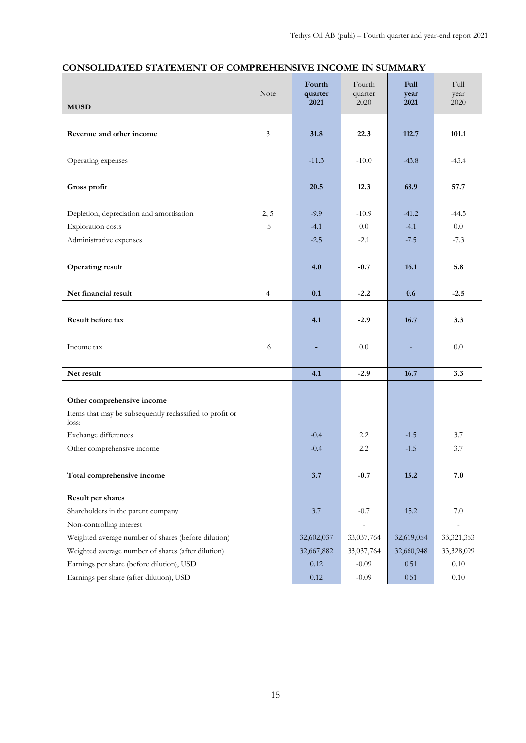| <b>MUSD</b><br>3<br>22.3<br>101.1<br>Revenue and other income<br>31.8<br>112.7                                |
|---------------------------------------------------------------------------------------------------------------|
|                                                                                                               |
|                                                                                                               |
| Operating expenses<br>$-11.3$<br>$-10.0$<br>$-43.4$<br>$-43.8$                                                |
| Gross profit<br>20.5<br>12.3<br>68.9<br>57.7                                                                  |
| Depletion, depreciation and amortisation<br>2, 5<br>$-9.9$<br>$-10.9$<br>$-41.2$<br>$-44.5$                   |
| 5<br>0.0<br>Exploration costs<br>$-4.1$<br>0.0<br>$-4.1$                                                      |
| Administrative expenses<br>$-7.3$<br>$-2.5$<br>$-2.1$<br>$-7.5$                                               |
| 4.0<br>$-0.7$<br>16.1<br>5.8<br><b>Operating result</b>                                                       |
| Net financial result<br>0.1<br>$-2.2$<br>0.6<br>$-2.5$<br>4                                                   |
| Result before tax<br>4.1<br>$-2.9$<br>16.7<br>3.3                                                             |
| 0.0<br>6<br>0.0<br>Income tax<br>$\blacksquare$<br>$\equiv$                                                   |
| Net result<br>4.1<br>$-2.9$<br>16.7<br>3.3                                                                    |
|                                                                                                               |
| Other comprehensive income                                                                                    |
| Items that may be subsequently reclassified to profit or<br>loss:                                             |
| Exchange differences<br>$2.2\phantom{0}$<br>$-1.5$<br>3.7<br>$-0.4$                                           |
| Other comprehensive income<br>2.2<br>3.7<br>$-0.4$<br>$-1.5$                                                  |
| 15.2<br>Total comprehensive income<br>3.7<br>$-0.7$<br>7.0                                                    |
| Result per shares                                                                                             |
| Shareholders in the parent company<br>$-0.7$<br>3.7<br>15.2<br>7.0                                            |
| Non-controlling interest<br>$\overline{\phantom{m}}$<br>$\overline{a}$                                        |
| Weighted average number of shares (before dilution)<br>32,602,037<br>33,037,764<br>32,619,054<br>33, 321, 353 |
| Weighted average number of shares (after dilution)<br>32,667,882<br>33,037,764<br>32,660,948<br>33,328,099    |
| Earnings per share (before dilution), USD<br>$0.10\,$<br>0.12<br>$-0.09$<br>0.51                              |
| Earnings per share (after dilution), USD<br>0.12<br>$-0.09$<br>$0.51\,$<br>$0.10\,$                           |

# **CONSOLIDATED STATEMENT OF COMPREHENSIVE INCOME IN SUMMARY**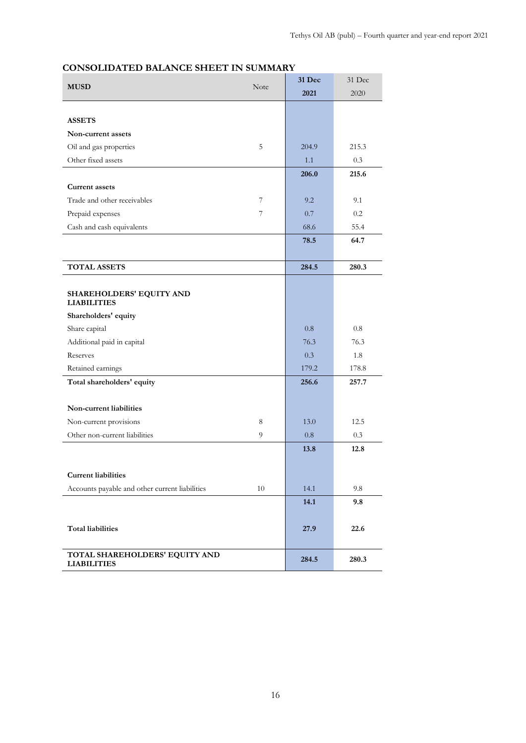| <b>MUSD</b><br>Note                                  | 31 Dec | 31 Dec |       |
|------------------------------------------------------|--------|--------|-------|
|                                                      |        | 2021   | 2020  |
|                                                      |        |        |       |
| <b>ASSETS</b>                                        |        |        |       |
| Non-current assets                                   |        |        |       |
| Oil and gas properties                               | 5      | 204.9  | 215.3 |
| Other fixed assets                                   |        | 1.1    | 0.3   |
|                                                      |        | 206.0  | 215.6 |
| <b>Current assets</b>                                |        |        |       |
| Trade and other receivables                          | 7      | 9.2    | 9.1   |
| Prepaid expenses                                     | 7      | 0.7    | 0.2   |
| Cash and cash equivalents                            |        | 68.6   | 55.4  |
|                                                      |        | 78.5   | 64.7  |
|                                                      |        |        |       |
| <b>TOTAL ASSETS</b>                                  |        | 284.5  | 280.3 |
|                                                      |        |        |       |
| SHAREHOLDERS' EQUITY AND<br><b>LIABILITIES</b>       |        |        |       |
| Shareholders' equity                                 |        |        |       |
| Share capital                                        |        | 0.8    | 0.8   |
| Additional paid in capital                           |        | 76.3   | 76.3  |
| Reserves                                             |        | 0.3    | 1.8   |
| Retained earnings                                    |        | 179.2  | 178.8 |
| Total shareholders' equity                           |        | 256.6  | 257.7 |
| Non-current liabilities                              |        |        |       |
| Non-current provisions                               | 8      | 13.0   | 12.5  |
| Other non-current liabilities                        | 9      | 0.8    | 0.3   |
|                                                      |        | 13.8   | 12.8  |
|                                                      |        |        |       |
| <b>Current liabilities</b>                           |        |        |       |
| Accounts payable and other current liabilities       | 10     | 14.1   | 9.8   |
|                                                      |        | 14.1   | 9.8   |
| <b>Total liabilities</b>                             |        | 27.9   | 22.6  |
| TOTAL SHAREHOLDERS' EQUITY AND<br><b>LIABILITIES</b> |        | 284.5  | 280.3 |

# **CONSOLIDATED BALANCE SHEET IN SUMMARY**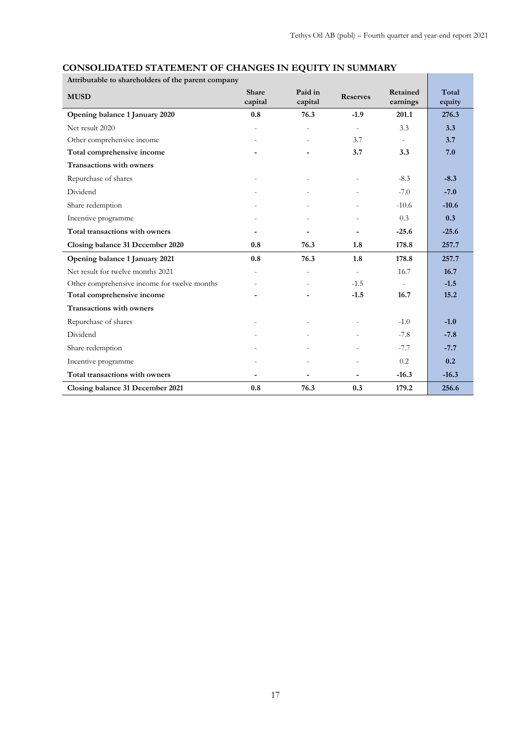| Attributable to shareholders of the parent company |                          |                          |                          |                      |                 |  |  |  |
|----------------------------------------------------|--------------------------|--------------------------|--------------------------|----------------------|-----------------|--|--|--|
| <b>MUSD</b>                                        | <b>Share</b><br>capital  | Paid in<br>capital       | <b>Reserves</b>          | Retained<br>earnings | Total<br>equity |  |  |  |
| Opening balance 1 January 2020                     | 0.8                      | 76.3                     | $-1.9$                   | 201.1                | 276.3           |  |  |  |
| Net result 2020                                    | $\overline{a}$           |                          | $\sim$                   | 3.3                  | 3.3             |  |  |  |
| Other comprehensive income                         |                          |                          | 3.7                      | $\sim$               | 3.7             |  |  |  |
| Total comprehensive income                         |                          |                          | 3.7                      | 3.3                  | 7.0             |  |  |  |
| <b>Transactions with owners</b>                    |                          |                          |                          |                      |                 |  |  |  |
| Repurchase of shares                               |                          |                          |                          | $-8.3$               | $-8.3$          |  |  |  |
| Dividend                                           |                          |                          |                          | $-7.0$               | $-7.0$          |  |  |  |
| Share redemption                                   | $\overline{a}$           |                          |                          | $-10.6$              | $-10.6$         |  |  |  |
| Incentive programme                                |                          |                          |                          | 0.3                  | 0.3             |  |  |  |
| Total transactions with owners                     | $\blacksquare$           | $\blacksquare$           |                          | $-25.6$              | $-25.6$         |  |  |  |
| Closing balance 31 December 2020                   | 0.8                      | 76.3                     | 1.8                      | 178.8                | 257.7           |  |  |  |
| Opening balance 1 January 2021                     | 0.8                      | 76.3                     | 1.8                      | 178.8                | 257.7           |  |  |  |
| Net result for twelve months 2021                  | L,                       | $\overline{\phantom{a}}$ | $\overline{\phantom{a}}$ | 16.7                 | 16.7            |  |  |  |
| Other comprehensive income for twelve months       |                          |                          | $-1.5$                   |                      | $-1.5$          |  |  |  |
| Total comprehensive income                         |                          |                          | $-1.5$                   | 16.7                 | 15.2            |  |  |  |
| <b>Transactions with owners</b>                    |                          |                          |                          |                      |                 |  |  |  |
| Repurchase of shares                               |                          |                          |                          | $-1.0$               | $-1.0$          |  |  |  |
| Dividend                                           |                          |                          |                          | $-7.8$               | $-7.8$          |  |  |  |
| Share redemption                                   |                          |                          |                          | $-7.7$               | $-7.7$          |  |  |  |
| Incentive programme                                |                          |                          |                          | 0.2                  | 0.2             |  |  |  |
| Total transactions with owners                     | $\overline{\phantom{a}}$ |                          |                          | $-16.3$              | $-16.3$         |  |  |  |
| Closing balance 31 December 2021                   | 0.8                      | 76.3                     | 0.3                      | 179.2                | 256.6           |  |  |  |

# **CONSOLIDATED STATEMENT OF CHANGES IN EQUITY IN SUMMARY**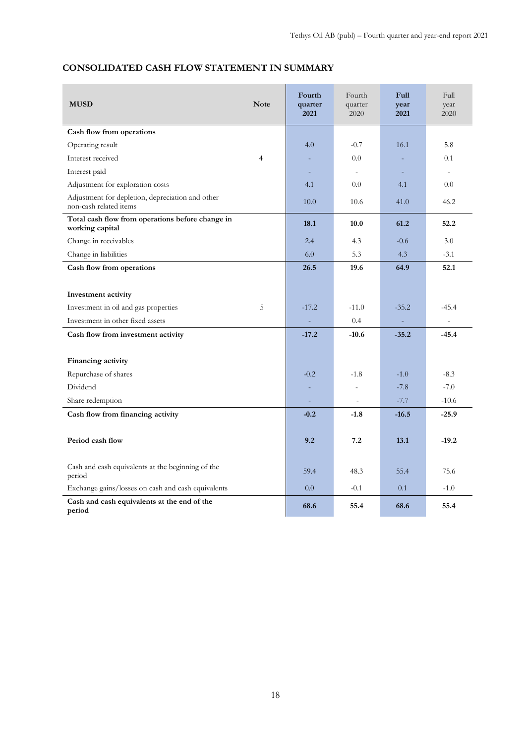| <b>MUSD</b>                                                                | <b>Note</b>    | Fourth<br>quarter<br>2021 | Fourth<br>quarter<br>2020 | <b>Full</b><br>year<br>2021 | <b>Full</b><br>year<br>2020 |
|----------------------------------------------------------------------------|----------------|---------------------------|---------------------------|-----------------------------|-----------------------------|
| Cash flow from operations                                                  |                |                           |                           |                             |                             |
| Operating result                                                           |                | 4.0                       | $-0.7$                    | 16.1                        | 5.8                         |
| Interest received                                                          | $\overline{4}$ |                           | 0.0                       |                             | 0.1                         |
| Interest paid                                                              |                | L.                        | $\sim$                    |                             | $\sim$                      |
| Adjustment for exploration costs                                           |                | 4.1                       | 0.0                       | 4.1                         | 0.0                         |
| Adjustment for depletion, depreciation and other<br>non-cash related items |                | 10.0                      | 10.6                      | 41.0                        | 46.2                        |
| Total cash flow from operations before change in<br>working capital        |                | 18.1                      | 10.0                      | 61.2                        | 52.2                        |
| Change in receivables                                                      |                | 2.4                       | 4.3                       | $-0.6$                      | 3.0                         |
| Change in liabilities                                                      |                | 6.0                       | 5.3                       | 4.3                         | $-3.1$                      |
| Cash flow from operations                                                  |                | 26.5                      | 19.6                      | 64.9                        | 52.1                        |
| Investment activity<br>Investment in oil and gas properties                | 5              | $-17.2$                   | $-11.0$                   | $-35.2$                     | $-45.4$                     |
| Investment in other fixed assets                                           |                |                           | 0.4                       |                             |                             |
| Cash flow from investment activity                                         |                | $-17.2$                   | $-10.6$                   | $-35.2$                     | $-45.4$                     |
|                                                                            |                |                           |                           |                             |                             |
| Financing activity                                                         |                |                           |                           |                             |                             |
| Repurchase of shares                                                       |                | $-0.2$                    | $-1.8$                    | $-1.0$                      | $-8.3$                      |
| Dividend                                                                   |                | ÷,                        | $\overline{a}$            | $-7.8$                      | $-7.0$                      |
| Share redemption                                                           |                | L,                        |                           | $-7.7$                      | $-10.6$                     |
| Cash flow from financing activity                                          |                | $-0.2$                    | $-1.8$                    | $-16.5$                     | $-25.9$                     |
| Period cash flow                                                           |                | 9.2                       | 7.2                       | 13.1                        | $-19.2$                     |
| Cash and cash equivalents at the beginning of the<br>period                |                | 59.4                      | 48.3                      | 55.4                        | 75.6                        |
| Exchange gains/losses on cash and cash equivalents                         |                | 0.0                       | $-0.1$                    | 0.1                         | $-1.0$                      |
| Cash and cash equivalents at the end of the<br>period                      |                | 68.6                      | 55.4                      | 68.6                        | 55.4                        |

# **CONSOLIDATED CASH FLOW STATEMENT IN SUMMARY**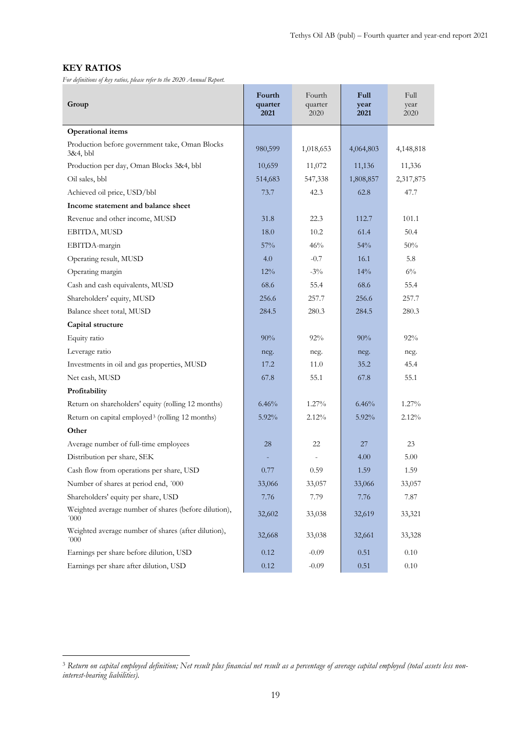### **KEY RATIOS**

*For definitions of key ratios, please refer to the 2020 Annual Report.*

| Group                                                        | Fourth<br>quarter<br>2021 | Fourth<br>quarter<br>2020 | Full<br>year<br>2021 | Full<br>year<br>2020 |
|--------------------------------------------------------------|---------------------------|---------------------------|----------------------|----------------------|
| <b>Operational items</b>                                     |                           |                           |                      |                      |
| Production before government take, Oman Blocks<br>3&4, bbl   | 980,599                   | 1,018,653                 | 4,064,803            | 4,148,818            |
| Production per day, Oman Blocks 3&4, bbl                     | 10,659                    | 11,072                    | 11,136               | 11,336               |
| Oil sales, bbl                                               | 514,683                   | 547,338                   | 1,808,857            | 2,317,875            |
| Achieved oil price, USD/bbl                                  | 73.7                      | 42.3                      | 62.8                 | 47.7                 |
| Income statement and balance sheet                           |                           |                           |                      |                      |
| Revenue and other income, MUSD                               | 31.8                      | 22.3                      | 112.7                | 101.1                |
| EBITDA, MUSD                                                 | 18.0                      | 10.2                      | 61.4                 | 50.4                 |
| EBITDA-margin                                                | 57%                       | 46%                       | 54%                  | 50%                  |
| Operating result, MUSD                                       | 4.0                       | $-0.7$                    | 16.1                 | 5.8                  |
| Operating margin                                             | 12%                       | $-3\%$                    | 14%                  | $6\%$                |
| Cash and cash equivalents, MUSD                              | 68.6                      | 55.4                      | 68.6                 | 55.4                 |
| Shareholders' equity, MUSD                                   | 256.6                     | 257.7                     | 256.6                | 257.7                |
| Balance sheet total, MUSD                                    | 284.5                     | 280.3                     | 284.5                | 280.3                |
| Capital structure                                            |                           |                           |                      |                      |
| Equity ratio                                                 | 90%                       | 92%                       | 90%                  | 92%                  |
| Leverage ratio                                               | neg.                      | neg.                      | neg.                 | neg.                 |
| Investments in oil and gas properties, MUSD                  | 17.2                      | 11.0                      | 35.2                 | 45.4                 |
| Net cash, MUSD                                               | 67.8                      | 55.1                      | 67.8                 | 55.1                 |
| Profitability                                                |                           |                           |                      |                      |
| Return on shareholders' equity (rolling 12 months)           | 6.46%                     | $1.27\%$                  | 6.46%                | $1.27\%$             |
| Return on capital employed <sup>3</sup> (rolling 12 months)  | $5.92\%$                  | 2.12%                     | $5.92\%$             | 2.12%                |
| Other                                                        |                           |                           |                      |                      |
| Average number of full-time employees                        | 28                        | 22                        | 27                   | 23                   |
| Distribution per share, SEK                                  |                           |                           | 4.00                 | 5.00                 |
| Cash flow from operations per share, USD                     | 0.77                      | 0.59                      | 1.59                 | 1.59                 |
| Number of shares at period end, '000                         | 33,066                    | 33,057                    | 33,066               | 33,057               |
| Shareholders' equity per share, USD                          | 7.76                      | 7.79                      | 7.76                 | 7.87                 |
| Weighted average number of shares (before dilution),<br>'000 | 32,602                    | 33,038                    | 32,619               | 33,321               |
| Weighted average number of shares (after dilution),<br>'000  | 32,668                    | 33,038                    | 32,661               | 33,328               |
| Earnings per share before dilution, USD                      | 0.12                      | $-0.09$                   | 0.51                 | 0.10                 |
| Earnings per share after dilution, USD                       | 0.12                      | $-0.09$                   | 0.51                 | $0.10\,$             |

<span id="page-18-0"></span><sup>3</sup> *Return on capital employed definition; Net result plus financial net result as a percentage of average capital employed (total assets less noninterest-bearing liabilities).*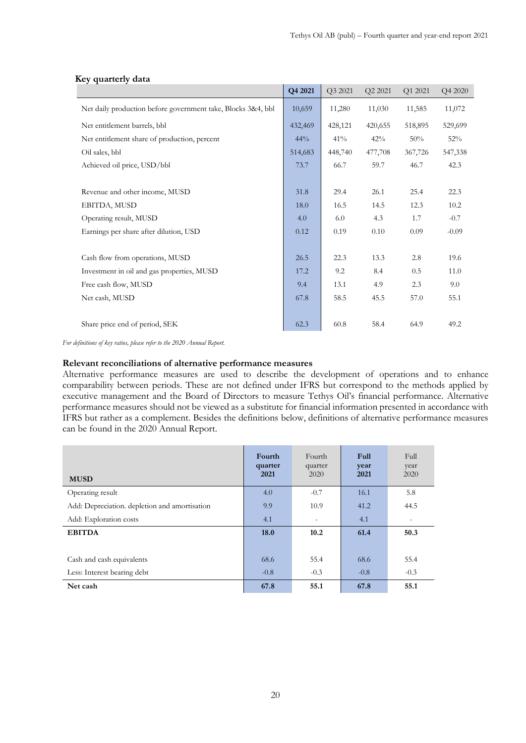|                                                              | Q4 2021 | Q3 2021 | Q2 2021 | Q1 2021 | Q4 2020 |
|--------------------------------------------------------------|---------|---------|---------|---------|---------|
| Net daily production before government take, Blocks 3&4, bbl | 10,659  | 11,280  | 11,030  | 11,585  | 11,072  |
| Net entitlement barrels, bbl                                 | 432,469 | 428,121 | 420,655 | 518,895 | 529,699 |
| Net entitlement share of production, percent                 | 44%     | 41%     | 42%     | 50%     | 52%     |
| Oil sales, bbl                                               | 514,683 | 448,740 | 477,708 | 367,726 | 547,338 |
| Achieved oil price, USD/bbl                                  | 73.7    | 66.7    | 59.7    | 46.7    | 42.3    |
|                                                              |         |         |         |         |         |
| Revenue and other income, MUSD                               | 31.8    | 29.4    | 26.1    | 25.4    | 22.3    |
| EBITDA, MUSD                                                 | 18.0    | 16.5    | 14.5    | 12.3    | 10.2    |
| Operating result, MUSD                                       | 4.0     | 6.0     | 4.3     | 1.7     | $-0.7$  |
| Earnings per share after dilution, USD                       | 0.12    | 0.19    | 0.10    | 0.09    | $-0.09$ |
|                                                              |         |         |         |         |         |
| Cash flow from operations, MUSD                              | 26.5    | 22.3    | 13.3    | 2.8     | 19.6    |
| Investment in oil and gas properties, MUSD                   | 17.2    | 9.2     | 8.4     | 0.5     | 11.0    |
| Free cash flow, MUSD                                         | 9.4     | 13.1    | 4.9     | 2.3     | 9.0     |
| Net cash, MUSD                                               | 67.8    | 58.5    | 45.5    | 57.0    | 55.1    |
|                                                              |         |         |         |         |         |
| Share price end of period, SEK                               | 62.3    | 60.8    | 58.4    | 64.9    | 49.2    |

#### **Key quarterly data**

*For definitions of key ratios, please refer to the 2020 Annual Report.*

#### **Relevant reconciliations of alternative performance measures**

Alternative performance measures are used to describe the development of operations and to enhance comparability between periods. These are not defined under IFRS but correspond to the methods applied by executive management and the Board of Directors to measure Tethys Oil's financial performance. Alternative performance measures should not be viewed as a substitute for financial information presented in accordance with IFRS but rather as a complement. Besides the definitions below, definitions of alternative performance measures can be found in the 2020 Annual Report.

| <b>MUSD</b>                                   | Fourth<br>quarter<br>2021 | Fourth<br>quarter<br>2020 | Full<br>year<br>2021 | Full<br>year<br>2020 |
|-----------------------------------------------|---------------------------|---------------------------|----------------------|----------------------|
| Operating result                              | 4.0                       | $-0.7$                    | 16.1                 | 5.8                  |
| Add: Depreciation. depletion and amortisation | 9.9                       | 10.9                      | 41.2                 | 44.5                 |
| Add: Exploration costs                        | 4.1                       | $\overline{\phantom{a}}$  | 4.1                  |                      |
| <b>EBITDA</b>                                 | 18.0                      | 10.2                      | 61.4                 | 50.3                 |
|                                               |                           |                           |                      |                      |
| Cash and cash equivalents                     | 68.6                      | 55.4                      | 68.6                 | 55.4                 |
| Less: Interest bearing debt                   | $-0.8$                    | $-0.3$                    | $-0.8$               | $-0.3$               |
| Net cash                                      | 67.8                      | 55.1                      | 67.8                 | 55.1                 |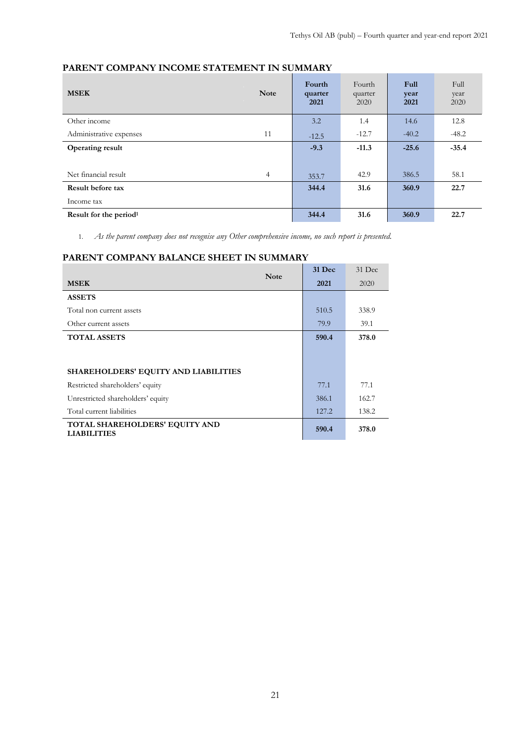# **PARENT COMPANY INCOME STATEMENT IN SUMMARY**

| <b>MSEK</b>                        | <b>Note</b>    | Fourth<br>quarter<br>2021 | Fourth<br>quarter<br>2020 | Full<br>year<br>2021 | Full<br>year<br>2020 |
|------------------------------------|----------------|---------------------------|---------------------------|----------------------|----------------------|
| Other income                       |                | 3.2                       | 1.4                       | 14.6                 | 12.8                 |
| Administrative expenses            | 11             | $-12.5$                   | $-12.7$                   | $-40.2$              | $-48.2$              |
| <b>Operating result</b>            |                | $-9.3$                    | $-11.3$                   | $-25.6$              | $-35.4$              |
|                                    |                |                           |                           |                      |                      |
| Net financial result               | $\overline{4}$ | 353.7                     | 42.9                      | 386.5                | 58.1                 |
| Result before tax                  |                | 344.4                     | 31.6                      | 360.9                | 22.7                 |
| Income tax                         |                |                           |                           |                      |                      |
| Result for the period <sup>1</sup> |                | 344.4                     | 31.6                      | 360.9                | 22.7                 |

1. *As the parent company does not recognise any Other comprehensive income, no such report is presented.*

# **PARENT COMPANY BALANCE SHEET IN SUMMARY**

| <b>Note</b>                                          | 31 Dec | 31 Dec |
|------------------------------------------------------|--------|--------|
| <b>MSEK</b>                                          | 2021   | 2020   |
| <b>ASSETS</b>                                        |        |        |
| Total non current assets                             | 510.5  | 338.9  |
| Other current assets                                 | 79.9   | 39.1   |
| <b>TOTAL ASSETS</b>                                  | 590.4  | 378.0  |
|                                                      |        |        |
| <b>SHAREHOLDERS' EQUITY AND LIABILITIES</b>          |        |        |
| Restricted shareholders' equity                      | 77.1   | 77.1   |
| Unrestricted shareholders' equity                    | 386.1  | 162.7  |
| Total current liabilities                            | 127.2  | 138.2  |
| TOTAL SHAREHOLDERS' EQUITY AND<br><b>LIABILITIES</b> | 590.4  | 378.0  |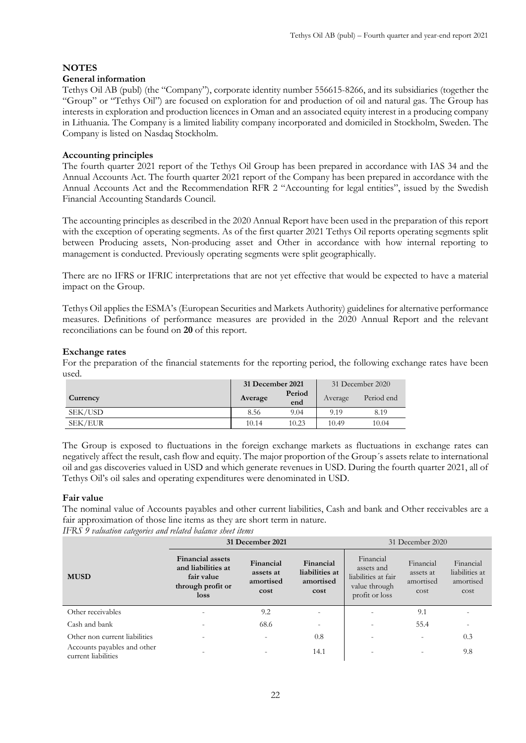### **NOTES**

#### **General information**

Tethys Oil AB (publ) (the "Company"), corporate identity number 556615-8266, and its subsidiaries (together the "Group" or "Tethys Oil") are focused on exploration for and production of oil and natural gas. The Group has interests in exploration and production licences in Oman and an associated equity interest in a producing company in Lithuania. The Company is a limited liability company incorporated and domiciled in Stockholm, Sweden. The Company is listed on Nasdaq Stockholm.

#### **Accounting principles**

The fourth quarter 2021 report of the Tethys Oil Group has been prepared in accordance with IAS 34 and the Annual Accounts Act. The fourth quarter 2021 report of the Company has been prepared in accordance with the Annual Accounts Act and the Recommendation RFR 2 "Accounting for legal entities", issued by the Swedish Financial Accounting Standards Council.

The accounting principles as described in the 2020 Annual Report have been used in the preparation of this report with the exception of operating segments. As of the first quarter 2021 Tethys Oil reports operating segments split between Producing assets, Non-producing asset and Other in accordance with how internal reporting to management is conducted. Previously operating segments were split geographically.

There are no IFRS or IFRIC interpretations that are not yet effective that would be expected to have a material impact on the Group.

Tethys Oil applies the ESMA's (European Securities and Markets Authority) guidelines for alternative performance measures. Definitions of performance measures are provided in the 2020 Annual Report and the relevant reconciliations can be found on **20** of this report.

#### **Exchange rates**

For the preparation of the financial statements for the reporting period, the following exchange rates have been used.

|          | 31 December 2021 |               |         | 31 December 2020 |
|----------|------------------|---------------|---------|------------------|
| Currency | Average          | Period<br>end | Average | Period end       |
| SEK/USD  | 8.56             | 9.04          | 9.19    | 8.19             |
| SEK/EUR  | 10.14            | 10.23         | 10.49   | 10.04            |

The Group is exposed to fluctuations in the foreign exchange markets as fluctuations in exchange rates can negatively affect the result, cash flow and equity. The major proportion of the Group´s assets relate to international oil and gas discoveries valued in USD and which generate revenues in USD. During the fourth quarter 2021, all of Tethys Oil's oil sales and operating expenditures were denominated in USD.

#### **Fair value**

The nominal value of Accounts payables and other current liabilities, Cash and bank and Other receivables are a fair approximation of those line items as they are short term in nature.

*IFRS 9 valuation categories and related balance sheet items*

|                                                    | 31 December 2021                                                                         | 31 December 2020                            |                                                  |                                                                                   |                                             |                                                  |
|----------------------------------------------------|------------------------------------------------------------------------------------------|---------------------------------------------|--------------------------------------------------|-----------------------------------------------------------------------------------|---------------------------------------------|--------------------------------------------------|
| <b>MUSD</b>                                        | <b>Financial assets</b><br>and liabilities at<br>fair value<br>through profit or<br>loss | Financial<br>assets at<br>amortised<br>cost | Financial<br>liabilities at<br>amortised<br>cost | Financial<br>assets and<br>liabilities at fair<br>value through<br>profit or loss | Financial<br>assets at<br>amortised<br>cost | Financial<br>liabilities at<br>amortised<br>cost |
| Other receivables                                  | $\overline{a}$                                                                           | 9.2                                         | $\overline{\phantom{a}}$                         |                                                                                   | 9.1                                         |                                                  |
| Cash and bank                                      | $\qquad \qquad -$                                                                        | 68.6                                        | $\overline{\phantom{a}}$                         |                                                                                   | 55.4                                        | $\overline{\phantom{0}}$                         |
| Other non current liabilities                      | $\overline{\phantom{a}}$                                                                 | $\overline{\phantom{a}}$                    | 0.8                                              |                                                                                   | $\overline{a}$                              | 0.3                                              |
| Accounts payables and other<br>current liabilities |                                                                                          |                                             | 14.1                                             |                                                                                   |                                             | 9.8                                              |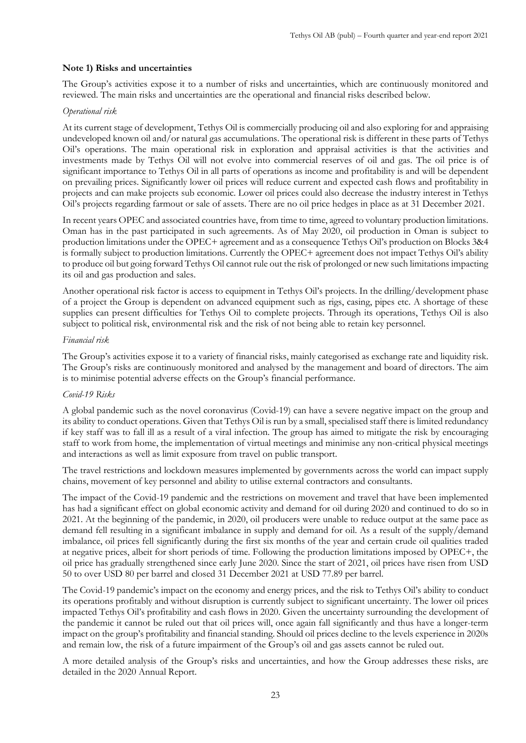#### **Note 1) Risks and uncertainties**

The Group's activities expose it to a number of risks and uncertainties, which are continuously monitored and reviewed. The main risks and uncertainties are the operational and financial risks described below.

#### *Operational risk*

At its current stage of development, Tethys Oil is commercially producing oil and also exploring for and appraising undeveloped known oil and/or natural gas accumulations. The operational risk is different in these parts of Tethys Oil's operations. The main operational risk in exploration and appraisal activities is that the activities and investments made by Tethys Oil will not evolve into commercial reserves of oil and gas. The oil price is of significant importance to Tethys Oil in all parts of operations as income and profitability is and will be dependent on prevailing prices. Significantly lower oil prices will reduce current and expected cash flows and profitability in projects and can make projects sub economic. Lower oil prices could also decrease the industry interest in Tethys Oil's projects regarding farmout or sale of assets. There are no oil price hedges in place as at 31 December 2021.

In recent years OPEC and associated countries have, from time to time, agreed to voluntary production limitations. Oman has in the past participated in such agreements. As of May 2020, oil production in Oman is subject to production limitations under the OPEC+ agreement and as a consequence Tethys Oil's production on Blocks 3&4 is formally subject to production limitations. Currently the OPEC+ agreement does not impact Tethys Oil's ability to produce oil but going forward Tethys Oil cannot rule out the risk of prolonged or new such limitations impacting its oil and gas production and sales.

Another operational risk factor is access to equipment in Tethys Oil's projects. In the drilling/development phase of a project the Group is dependent on advanced equipment such as rigs, casing, pipes etc. A shortage of these supplies can present difficulties for Tethys Oil to complete projects. Through its operations, Tethys Oil is also subject to political risk, environmental risk and the risk of not being able to retain key personnel.

#### *Financial risk*

The Group's activities expose it to a variety of financial risks, mainly categorised as exchange rate and liquidity risk. The Group's risks are continuously monitored and analysed by the management and board of directors. The aim is to minimise potential adverse effects on the Group's financial performance.

#### *Covid-19 Risks*

A global pandemic such as the novel coronavirus (Covid-19) can have a severe negative impact on the group and its ability to conduct operations. Given that Tethys Oil is run by a small, specialised staff there is limited redundancy if key staff was to fall ill as a result of a viral infection. The group has aimed to mitigate the risk by encouraging staff to work from home, the implementation of virtual meetings and minimise any non-critical physical meetings and interactions as well as limit exposure from travel on public transport.

The travel restrictions and lockdown measures implemented by governments across the world can impact supply chains, movement of key personnel and ability to utilise external contractors and consultants.

The impact of the Covid-19 pandemic and the restrictions on movement and travel that have been implemented has had a significant effect on global economic activity and demand for oil during 2020 and continued to do so in 2021. At the beginning of the pandemic, in 2020, oil producers were unable to reduce output at the same pace as demand fell resulting in a significant imbalance in supply and demand for oil. As a result of the supply/demand imbalance, oil prices fell significantly during the first six months of the year and certain crude oil qualities traded at negative prices, albeit for short periods of time. Following the production limitations imposed by OPEC+, the oil price has gradually strengthened since early June 2020. Since the start of 2021, oil prices have risen from USD 50 to over USD 80 per barrel and closed 31 December 2021 at USD 77.89 per barrel.

The Covid-19 pandemic's impact on the economy and energy prices, and the risk to Tethys Oil's ability to conduct its operations profitably and without disruption is currently subject to significant uncertainty. The lower oil prices impacted Tethys Oil's profitability and cash flows in 2020. Given the uncertainty surrounding the development of the pandemic it cannot be ruled out that oil prices will, once again fall significantly and thus have a longer-term impact on the group's profitability and financial standing. Should oil prices decline to the levels experience in 2020s and remain low, the risk of a future impairment of the Group's oil and gas assets cannot be ruled out.

A more detailed analysis of the Group's risks and uncertainties, and how the Group addresses these risks, are detailed in the 2020 Annual Report.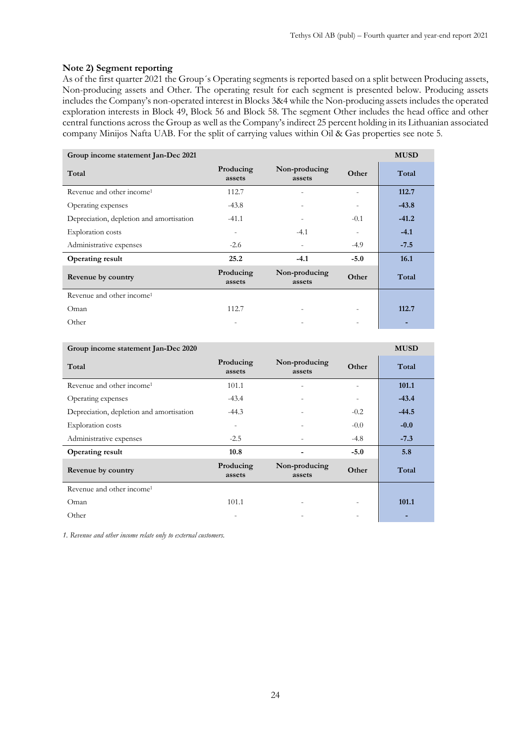#### **Note 2) Segment reporting**

As of the first quarter 2021 the Group´s Operating segments is reported based on a split between Producing assets, Non-producing assets and Other. The operating result for each segment is presented below. Producing assets includes the Company's non-operated interest in Blocks 3&4 while the Non-producing assets includes the operated exploration interests in Block 49, Block 56 and Block 58. The segment Other includes the head office and other central functions across the Group as well as the Company's indirect 25 percent holding in its Lithuanian associated company Minijos Nafta UAB. For the split of carrying values within Oil & Gas properties see note 5.

| Group income statement Jan-Dec 2021      |                     |                          |                          |         |  |  |  |
|------------------------------------------|---------------------|--------------------------|--------------------------|---------|--|--|--|
| Total                                    | Producing<br>assets | Non-producing<br>assets  | Other                    | Total   |  |  |  |
| Revenue and other income <sup>1</sup>    | 112.7               |                          | $\overline{\phantom{0}}$ | 112.7   |  |  |  |
| Operating expenses                       | $-43.8$             |                          |                          | $-43.8$ |  |  |  |
| Depreciation, depletion and amortisation | $-41.1$             |                          | $-0.1$                   | $-41.2$ |  |  |  |
| <b>Exploration</b> costs                 |                     | $-4.1$                   |                          | $-4.1$  |  |  |  |
| Administrative expenses                  | $-2.6$              | $\overline{\phantom{a}}$ | $-4.9$                   | $-7.5$  |  |  |  |
| <b>Operating result</b>                  | 25.2                | $-4.1$                   | $-5.0$                   | 16.1    |  |  |  |
| Revenue by country                       | Producing<br>assets | Non-producing<br>assets  | Other                    | Total   |  |  |  |
| Revenue and other income <sup>1</sup>    |                     |                          |                          |         |  |  |  |
| Oman                                     | 112.7               |                          | $\overline{\phantom{a}}$ | 112.7   |  |  |  |
| Other                                    |                     |                          |                          |         |  |  |  |

| Group income statement Jan-Dec 2020      |                     |                         |                          | <b>MUSD</b> |
|------------------------------------------|---------------------|-------------------------|--------------------------|-------------|
| Total                                    | Producing<br>assets | Non-producing<br>assets | Other                    | Total       |
| Revenue and other income <sup>1</sup>    | 101.1               |                         |                          | 101.1       |
| Operating expenses                       | $-43.4$             |                         | $\overline{\phantom{0}}$ | $-43.4$     |
| Depreciation, depletion and amortisation | $-44.3$             |                         | $-0.2$                   | $-44.5$     |
| <b>Exploration</b> costs                 | ۰                   |                         | $-0.0$                   | $-0.0$      |
| Administrative expenses                  | $-2.5$              |                         | $-4.8$                   | $-7.3$      |
| <b>Operating result</b>                  | 10.8                |                         | $-5.0$                   | 5.8         |
| Revenue by country                       | Producing<br>assets | Non-producing<br>assets | Other                    | Total       |
| Revenue and other income <sup>1</sup>    |                     |                         |                          |             |
| Oman                                     | 101.1               |                         |                          | 101.1       |
| Other                                    |                     |                         |                          |             |

*1. Revenue and other income relate only to external customers.*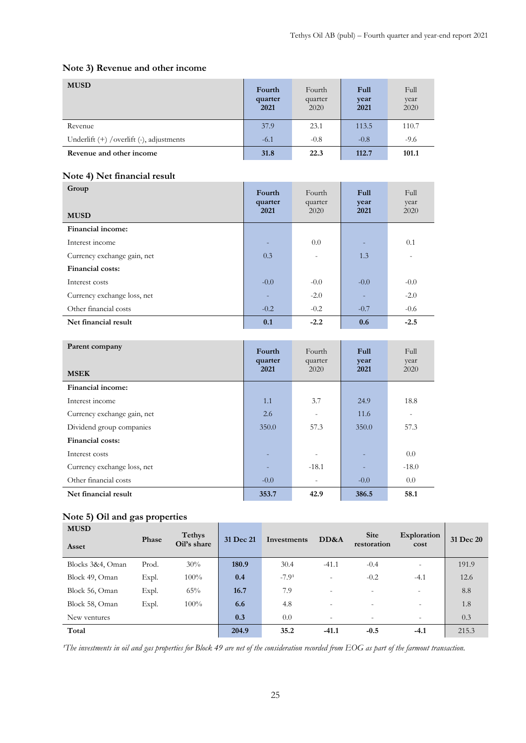# **Note 3) Revenue and other income**

| <b>MUSD</b>                               | Fourth<br>quarter<br>2021 | Fourth<br>quarter<br>2020 | Full<br>year<br>2021 | Full<br>vear<br>2020 |
|-------------------------------------------|---------------------------|---------------------------|----------------------|----------------------|
| Revenue                                   | 37.9                      | 23.1                      | 113.5                | 110.7                |
| Underlift (+) / overlift (-), adjustments | $-6.1$                    | $-0.8$                    | $-0.8$               | $-9.6$               |
| Revenue and other income                  | 31.8                      | 22.3                      | 112.7                | 101.1                |

## **Note 4) Net financial result**

| Group<br><b>MUSD</b>        | Fourth<br>quarter<br>2021 | Fourth<br>quarter<br>2020 | Full<br>year<br>2021 | Full<br>year<br>2020 |
|-----------------------------|---------------------------|---------------------------|----------------------|----------------------|
| Financial income:           |                           |                           |                      |                      |
| Interest income             | н.                        | 0.0                       |                      | 0.1                  |
| Currency exchange gain, net | 0.3                       | $\overline{\phantom{0}}$  | 1.3                  |                      |
| <b>Financial costs:</b>     |                           |                           |                      |                      |
| Interest costs              | $-0.0$                    | $-0.0$                    | $-0.0$               | $-0.0$               |
| Currency exchange loss, net |                           | $-2.0$                    |                      | $-2.0$               |
| Other financial costs       | $-0.2$                    | $-0.2$                    | $-0.7$               | $-0.6$               |
| Net financial result        | 0.1                       | $-2.2$                    | 0.6                  | $-2.5$               |

| Parent company              | Fourth<br>quarter | Fourth<br>quarter | <b>Full</b><br>year | Full<br>year             |
|-----------------------------|-------------------|-------------------|---------------------|--------------------------|
| <b>MSEK</b>                 | 2021              | 2020              | 2021                | 2020                     |
| Financial income:           |                   |                   |                     |                          |
| Interest income             | 1.1               | 3.7               | 24.9                | 18.8                     |
| Currency exchange gain, net | 2.6               |                   | 11.6                | $\overline{\phantom{0}}$ |
| Dividend group companies    | 350.0             | 57.3              | 350.0               | 57.3                     |
| Financial costs:            |                   |                   |                     |                          |
| Interest costs              |                   |                   |                     | 0.0                      |
| Currency exchange loss, net |                   | $-18.1$           |                     | $-18.0$                  |
| Other financial costs       | $-0.0$            |                   | $-0.0$              | 0.0                      |
| Net financial result        | 353.7             | 42.9              | 386.5               | 58.1                     |

# **Note 5) Oil and gas properties**

| <b>MUSD</b>      |       | <b>Tethys</b> |           |             |                          |                            | Exploration              |           |  |
|------------------|-------|---------------|-----------|-------------|--------------------------|----------------------------|--------------------------|-----------|--|
| Asset            | Phase | Oil's share   | 31 Dec 21 | Investments | DD&A                     | <b>Site</b><br>restoration | cost                     | 31 Dec 20 |  |
| Blocks 3&4, Oman | Prod. | 30%           | 180.9     | 30.4        | $-41.1$                  | $-0.4$                     | $\overline{\phantom{a}}$ | 191.9     |  |
| Block 49, Oman   | Expl. | 100%          | 0.4       | $-7.91$     | $\overline{\phantom{0}}$ | $-0.2$                     | $-4.1$                   | 12.6      |  |
| Block 56, Oman   | Expl. | 65%           | 16.7      | 7.9         | -                        | $\overline{\phantom{a}}$   | $\equiv$                 | 8.8       |  |
| Block 58, Oman   | Expl. | 100%          | 6.6       | 4.8         | $\overline{\phantom{0}}$ | $\overline{\phantom{a}}$   | $\equiv$                 | 1.8       |  |
| New ventures     |       |               | 0.3       | 0.0         | -                        | $\overline{\phantom{0}}$   | $\overline{\phantom{a}}$ | 0.3       |  |
| Total            |       |               | 204.9     | 35.2        | $-41.1$                  | $-0.5$                     | $-4.1$                   | 215.3     |  |

<sup>*'The investments in oil and gas properties for Block 49 are net of the consideration recorded from EOG as part of the farmout transaction.</sup>*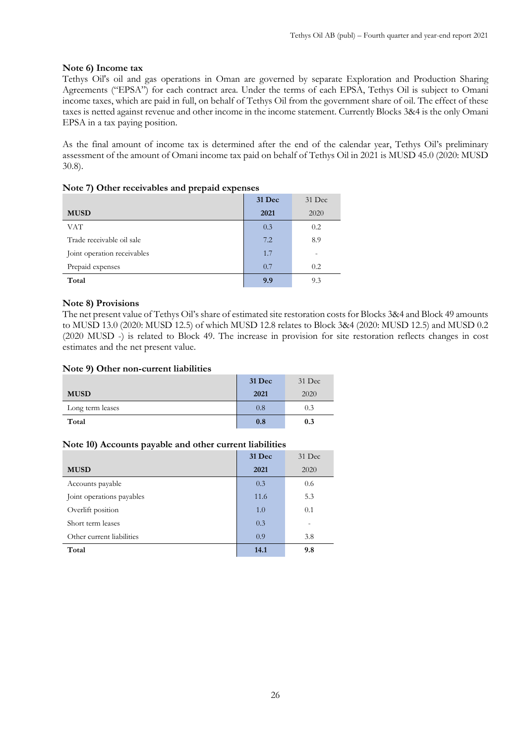### **Note 6) Income tax**

Tethys Oil's oil and gas operations in Oman are governed by separate Exploration and Production Sharing Agreements ("EPSA") for each contract area. Under the terms of each EPSA, Tethys Oil is subject to Omani income taxes, which are paid in full, on behalf of Tethys Oil from the government share of oil. The effect of these taxes is netted against revenue and other income in the income statement. Currently Blocks 3&4 is the only Omani EPSA in a tax paying position.

As the final amount of income tax is determined after the end of the calendar year, Tethys Oil's preliminary assessment of the amount of Omani income tax paid on behalf of Tethys Oil in 2021 is MUSD 45.0 (2020: MUSD 30.8).

|                             | 31 Dec | 31 Dec |
|-----------------------------|--------|--------|
| <b>MUSD</b>                 | 2021   | 2020   |
| <b>VAT</b>                  | 0.3    | 0.2    |
| Trade receivable oil sale   | 7.2    | 8.9    |
| Joint operation receivables | 1.7    |        |
| Prepaid expenses            | 0.7    | 0.2    |
| Total                       | 9.9    | 9.3    |

|  | Note 7) Other receivables and prepaid expenses |  |  |
|--|------------------------------------------------|--|--|
|  |                                                |  |  |

#### **Note 8) Provisions**

The net present value of Tethys Oil's share of estimated site restoration costs for Blocks 3&4 and Block 49 amounts to MUSD 13.0 (2020: MUSD 12.5) of which MUSD 12.8 relates to Block 3&4 (2020: MUSD 12.5) and MUSD 0.2 (2020 MUSD -) is related to Block 49. The increase in provision for site restoration reflects changes in cost estimates and the net present value.

#### **Note 9) Other non-current liabilities**

|                  | <b>31 Dec</b> | 31 Dec |
|------------------|---------------|--------|
| <b>MUSD</b>      | 2021          | 2020   |
| Long term leases | 0.8           | 0.3    |
| Total            | 0.8           | 0.3    |

#### **Note 10) Accounts payable and other current liabilities**

|                           | <b>31 Dec</b> | $31$ Dec |
|---------------------------|---------------|----------|
| <b>MUSD</b>               | 2021          | 2020     |
| Accounts payable          | 0.3           | 0.6      |
| Joint operations payables | 11.6          | 5.3      |
| Overlift position         | 1.0           | 0.1      |
| Short term leases         | 0.3           |          |
| Other current liabilities | 0.9           | 3.8      |
| Total                     | 14.1          | 9.8      |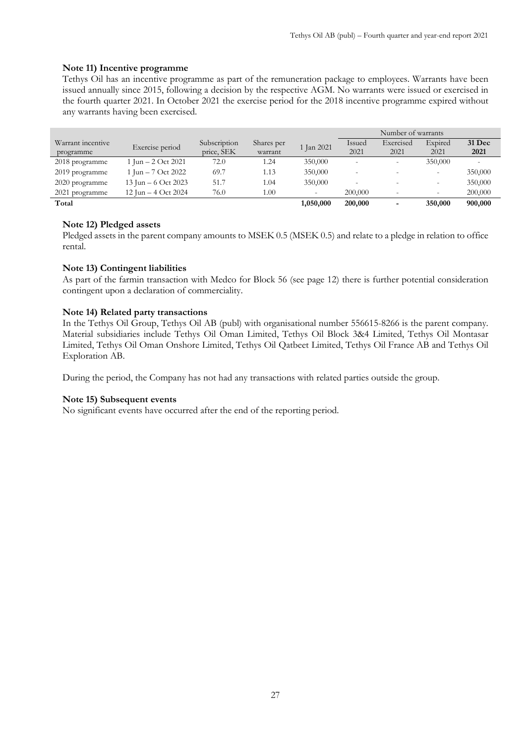### **Note 11) Incentive programme**

Tethys Oil has an incentive programme as part of the remuneration package to employees. Warrants have been issued annually since 2015, following a decision by the respective AGM. No warrants were issued or exercised in the fourth quarter 2021. In October 2021 the exercise period for the 2018 incentive programme expired without any warrants having been exercised.

|                   |                       |              |            |            | Number of warrants |           |                 |               |
|-------------------|-----------------------|--------------|------------|------------|--------------------|-----------|-----------------|---------------|
| Warrant incentive | Exercise period       | Subscription | Shares per | 1 Jan 2021 | Issued             | Exercised | Expired         | <b>31 Dec</b> |
| programme         |                       | price, SEK   | warrant    |            | 2021               | 2021      | 2021            | 2021          |
| 2018 programme    | 1 Jun $-$ 2 Oct 2021  | 72.0         | 1.24       | 350,000    |                    |           | 350,000         |               |
| 2019 programme    | 1 Jun $-7$ Oct 2022   | 69.7         | 1.13       | 350,000    |                    |           |                 | 350,000       |
| 2020 programme    | 13 Jun $-6$ Oct 2023  | 51.7         | 1.04       | 350,000    | -                  |           | $\qquad \qquad$ | 350,000       |
| 2021 programme    | 12 Jun $-$ 4 Oct 2024 | 76.0         | 1.00       |            | 200,000            |           |                 | 200,000       |
| Total             |                       |              |            | 1,050,000  | 200,000            |           | 350,000         | 900,000       |

#### **Note 12) Pledged assets**

Pledged assets in the parent company amounts to MSEK 0.5 (MSEK 0.5) and relate to a pledge in relation to office rental.

#### **Note 13) Contingent liabilities**

As part of the farmin transaction with Medco for Block 56 (see page 12) there is further potential consideration contingent upon a declaration of commerciality.

#### **Note 14) Related party transactions**

In the Tethys Oil Group, Tethys Oil AB (publ) with organisational number 556615-8266 is the parent company. Material subsidiaries include Tethys Oil Oman Limited, Tethys Oil Block 3&4 Limited, Tethys Oil Montasar Limited, Tethys Oil Oman Onshore Limited, Tethys Oil Qatbeet Limited, Tethys Oil France AB and Tethys Oil Exploration AB.

During the period, the Company has not had any transactions with related parties outside the group.

#### **Note 15) Subsequent events**

No significant events have occurred after the end of the reporting period.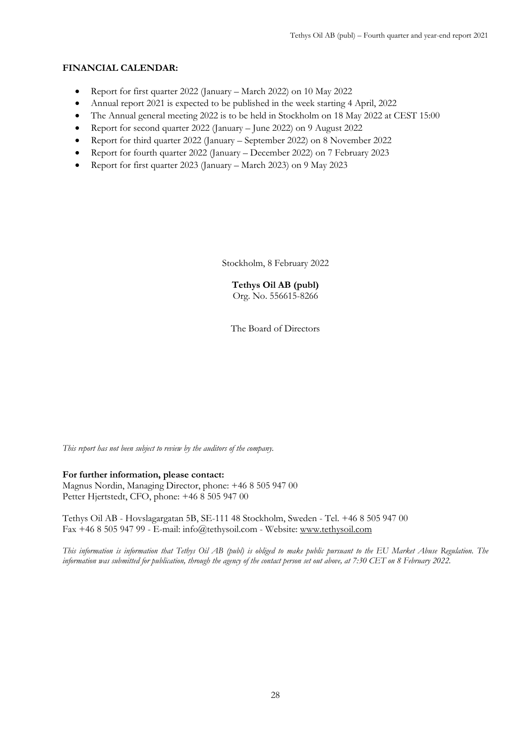## **FINANCIAL CALENDAR:**

- Report for first quarter 2022 (January March 2022) on 10 May 2022
- Annual report 2021 is expected to be published in the week starting 4 April, 2022
- The Annual general meeting 2022 is to be held in Stockholm on 18 May 2022 at CEST 15:00
- Report for second quarter 2022 (January June 2022) on 9 August 2022
- Report for third quarter 2022 (January September 2022) on 8 November 2022
- Report for fourth quarter 2022 (January December 2022) on 7 February 2023
- Report for first quarter 2023 (January March 2023) on 9 May 2023

Stockholm, 8 February 2022

**Tethys Oil AB (publ)** Org. No. 556615-8266

The Board of Directors

*This report has not been subject to review by the auditors of the company.*

### **For further information, please contact:**

Magnus Nordin, Managing Director, phone: +46 8 505 947 00 Petter Hjertstedt, CFO, phone: +46 8 505 947 00

Tethys Oil AB - Hovslagargatan 5B, SE-111 48 Stockholm, Sweden - Tel. +46 8 505 947 00 Fax +46 8 505 947 99 - E-mail: info@tethysoil.com - Website: [www.tethysoil.com](http://www.tethysoil.com/)

*This information is information that Tethys Oil AB (publ) is obliged to make public pursuant to the EU Market Abuse Regulation. The information was submitted for publication, through the agency of the contact person set out above, at 7:30 CET on 8 February 2022.*